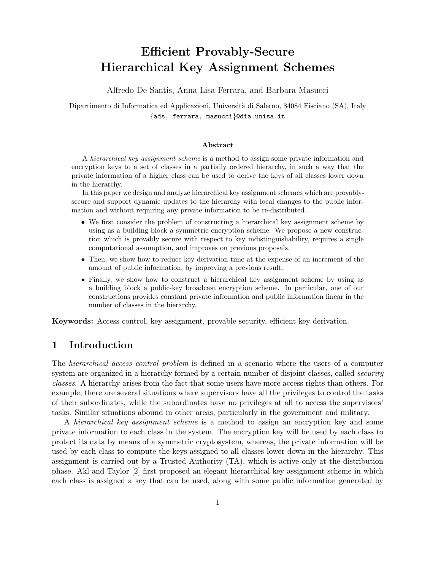# Efficient Provably-Secure Hierarchical Key Assignment Schemes

Alfredo De Santis, Anna Lisa Ferrara, and Barbara Masucci

Dipartimento di Informatica ed Applicazioni, Università di Salerno, 84084 Fisciano (SA), Italy {ads, ferrara, masucci}@dia.unisa.it

#### Abstract

A hierarchical key assignment scheme is a method to assign some private information and encryption keys to a set of classes in a partially ordered hierarchy, in such a way that the private information of a higher class can be used to derive the keys of all classes lower down in the hierarchy.

In this paper we design and analyze hierarchical key assignment schemes which are provablysecure and support dynamic updates to the hierarchy with local changes to the public information and without requiring any private information to be re-distributed.

- We first consider the problem of constructing a hierarchical key assignment scheme by using as a building block a symmetric encryption scheme. We propose a new construction which is provably secure with respect to key indistinguishability, requires a single computational assumption, and improves on previous proposals.
- Then, we show how to reduce key derivation time at the expense of an increment of the amount of public information, by improving a previous result.
- Finally, we show how to construct a hierarchical key assignment scheme by using as a building block a public-key broadcast encryption scheme. In particular, one of our constructions provides constant private information and public information linear in the number of classes in the hierarchy.

Keywords: Access control, key assignment, provable security, efficient key derivation.

# 1 Introduction

The hierarchical access control problem is defined in a scenario where the users of a computer system are organized in a hierarchy formed by a certain number of disjoint classes, called *security* classes. A hierarchy arises from the fact that some users have more access rights than others. For example, there are several situations where supervisors have all the privileges to control the tasks of their subordinates, while the subordinates have no privileges at all to access the supervisors' tasks. Similar situations abound in other areas, particularly in the government and military.

A hierarchical key assignment scheme is a method to assign an encryption key and some private information to each class in the system. The encryption key will be used by each class to protect its data by means of a symmetric cryptosystem, whereas, the private information will be used by each class to compute the keys assigned to all classes lower down in the hierarchy. This assignment is carried out by a Trusted Authority (TA), which is active only at the distribution phase. Akl and Taylor [2] first proposed an elegant hierarchical key assignment scheme in which each class is assigned a key that can be used, along with some public information generated by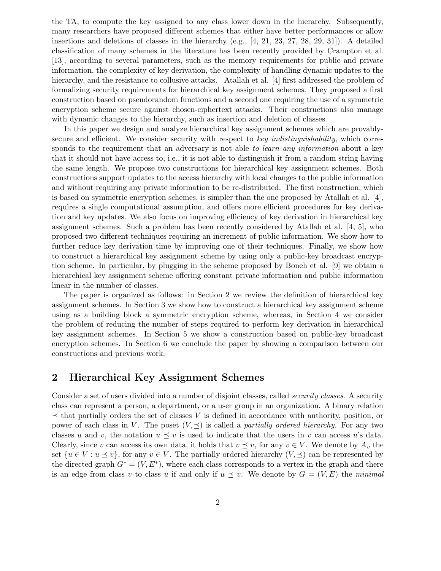the TA, to compute the key assigned to any class lower down in the hierarchy. Subsequently, many researchers have proposed different schemes that either have better performances or allow insertions and deletions of classes in the hierarchy (e.g.,  $[4, 21, 23, 27, 28, 29, 31]$ ). A detailed classification of many schemes in the literature has been recently provided by Crampton et al. [13], according to several parameters, such as the memory requirements for public and private information, the complexity of key derivation, the complexity of handling dynamic updates to the hierarchy, and the resistance to collusive attacks. Atallah et al. [4] first addressed the problem of formalizing security requirements for hierarchical key assignment schemes. They proposed a first construction based on pseudorandom functions and a second one requiring the use of a symmetric encryption scheme secure against chosen-ciphertext attacks. Their constructions also manage with dynamic changes to the hierarchy, such as insertion and deletion of classes.

In this paper we design and analyze hierarchical key assignment schemes which are provablysecure and efficient. We consider security with respect to key indistinguishability, which corresponds to the requirement that an adversary is not able to learn any information about a key that it should not have access to, i.e., it is not able to distinguish it from a random string having the same length. We propose two constructions for hierarchical key assignment schemes. Both constructions support updates to the access hierarchy with local changes to the public information and without requiring any private information to be re-distributed. The first construction, which is based on symmetric encryption schemes, is simpler than the one proposed by Atallah et al. [4], requires a single computational assumption, and offers more efficient procedures for key derivation and key updates. We also focus on improving efficiency of key derivation in hierarchical key assignment schemes. Such a problem has been recently considered by Atallah et al. [4, 5], who proposed two different techniques requiring an increment of public information. We show how to further reduce key derivation time by improving one of their techniques. Finally, we show how to construct a hierarchical key assignment scheme by using only a public-key broadcast encryption scheme. In particular, by plugging in the scheme proposed by Boneh et al. [9] we obtain a hierarchical key assignment scheme offering constant private information and public information linear in the number of classes.

The paper is organized as follows: in Section 2 we review the definition of hierarchical key assignment schemes. In Section 3 we show how to construct a hierarchical key assignment scheme using as a building block a symmetric encryption scheme, whereas, in Section 4 we consider the problem of reducing the number of steps required to perform key derivation in hierarchical key assignment schemes. In Section 5 we show a construction based on public-key broadcast encryption schemes. In Section 6 we conclude the paper by showing a comparison between our constructions and previous work.

# 2 Hierarchical Key Assignment Schemes

Consider a set of users divided into a number of disjoint classes, called security classes. A security class can represent a person, a department, or a user group in an organization. A binary relation  $\preceq$  that partially orders the set of classes V is defined in accordance with authority, position, or power of each class in V. The poset  $(V, \preceq)$  is called a *partially ordered hierarchy*. For any two classes u and v, the notation  $u \preceq v$  is used to indicate that the users in v can access u's data. Clearly, since v can access its own data, it holds that  $v \preceq v$ , for any  $v \in V$ . We denote by  $A_v$  the set  $\{u \in V : u \leq v\}$ , for any  $v \in V$ . The partially ordered hierarchy  $(V, \preceq)$  can be represented by the directed graph  $G^* = (V, E^*)$ , where each class corresponds to a vertex in the graph and there is an edge from class v to class u if and only if  $u \preceq v$ . We denote by  $G = (V, E)$  the minimal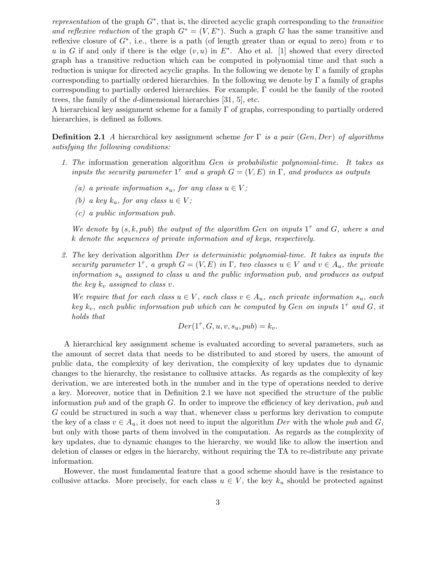representation of the graph  $G^*$ , that is, the directed acyclic graph corresponding to the transitive and reflexive reduction of the graph  $G^* = (V, E^*)$ . Such a graph G has the same transitive and reflexive closure of  $G^*$ , i.e., there is a path (of length greater than or equal to zero) from v to u in G if and only if there is the edge  $(v, u)$  in  $E^*$ . Aho et al. [1] showed that every directed graph has a transitive reduction which can be computed in polynomial time and that such a reduction is unique for directed acyclic graphs. In the following we denote by  $\Gamma$  a family of graphs corresponding to partially ordered hierarchies. In the following we denote by  $\Gamma$  a family of graphs corresponding to partially ordered hierarchies. For example, Γ could be the family of the rooted trees, the family of the d-dimensional hierarchies [31, 5], etc.

A hierarchical key assignment scheme for a family  $\Gamma$  of graphs, corresponding to partially ordered hierarchies, is defined as follows.

**Definition 2.1** A hierarchical key assignment scheme for  $\Gamma$  is a pair (Gen, Der) of algorithms satisfying the following conditions:

- 1. The information generation algorithm Gen is probabilistic polynomial-time. It takes as inputs the security parameter  $1^{\tau}$  and a graph  $G = (V, E)$  in  $\Gamma$ , and produces as outputs
	- (a) a private information  $s_u$ , for any class  $u \in V$ ;
	- (b) a key  $k_u$ , for any class  $u \in V$ ;
	- (c) a public information pub.

We denote by  $(s, k, pub)$  the output of the algorithm Gen on inputs  $1<sup>\tau</sup>$  and G, where s and k denote the sequences of private information and of keys, respectively.

2. The key derivation algorithm Der is deterministic polynomial-time. It takes as inputs the security parameter  $1^{\tau}$ , a graph  $G = (V, E)$  in  $\Gamma$ , two classes  $u \in V$  and  $v \in A_u$ , the private information  $s_u$  assigned to class u and the public information pub, and produces as output the key  $k_v$  assigned to class v.

We require that for each class  $u \in V$ , each class  $v \in A_u$ , each private information  $s_u$ , each key  $k_v$ , each public information pub which can be computed by Gen on inputs  $1^{\tau}$  and G, it holds that

$$
Der(1^{\tau}, G, u, v, s_u, pub) = k_v.
$$

A hierarchical key assignment scheme is evaluated according to several parameters, such as the amount of secret data that needs to be distributed to and stored by users, the amount of public data, the complexity of key derivation, the complexity of key updates due to dynamic changes to the hierarchy, the resistance to collusive attacks. As regards as the complexity of key derivation, we are interested both in the number and in the type of operations needed to derive a key. Moreover, notice that in Definition 2.1 we have not specified the structure of the public information pub and of the graph  $G$ . In order to improve the efficiency of key derivation, pub and G could be structured in such a way that, whenever class u performs key derivation to compute the key of a class  $v \in A_u$ , it does not need to input the algorithm Der with the whole pub and G, but only with those parts of them involved in the computation. As regards as the complexity of key updates, due to dynamic changes to the hierarchy, we would like to allow the insertion and deletion of classes or edges in the hierarchy, without requiring the TA to re-distribute any private information.

However, the most fundamental feature that a good scheme should have is the resistance to collusive attacks. More precisely, for each class  $u \in V$ , the key  $k_u$  should be protected against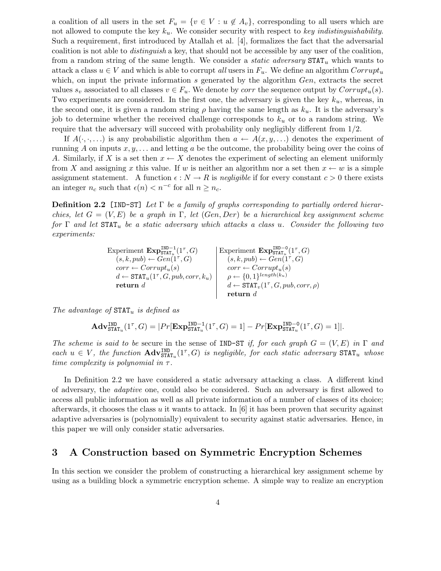a coalition of all users in the set  $F_u = \{v \in V : u \notin A_v\}$ , corresponding to all users which are not allowed to compute the key  $k_u$ . We consider security with respect to key indistinguishability. Such a requirement, first introduced by Atallah et al. [4], formalizes the fact that the adversarial coalition is not able to distinguish a key, that should not be accessible by any user of the coalition, from a random string of the same length. We consider a *static adversary*  $\text{STAT}_u$  which wants to attack a class  $u \in V$  and which is able to corrupt all users in  $F_u$ . We define an algorithm  $Corrupt_u$ which, on input the private information s generated by the algorithm  $Gen$ , extracts the secret values  $s_v$  associated to all classes  $v \in F_u$ . We denote by *corr* the sequence output by  $Corrupt_u(s)$ . Two experiments are considered. In the first one, the adversary is given the key  $k_u$ , whereas, in the second one, it is given a random string  $\rho$  having the same length as  $k_u$ . It is the adversary's job to determine whether the received challenge corresponds to  $k_u$  or to a random string. We require that the adversary will succeed with probability only negligibly different from 1/2.

If  $A(\cdot,\cdot,\ldots)$  is any probabilistic algorithm then  $a \leftarrow A(x,y,\ldots)$  denotes the experiment of running A on inputs  $x, y, \ldots$  and letting a be the outcome, the probability being over the coins of A. Similarly, if X is a set then  $x \leftarrow X$  denotes the experiment of selecting an element uniformly from X and assigning x this value. If w is neither an algorithm nor a set then  $x \leftarrow w$  is a simple assignment statement. A function  $\epsilon : N \to R$  is negligible if for every constant  $c > 0$  there exists an integer  $n_c$  such that  $\epsilon(n) < n^{-c}$  for all  $n \geq n_c$ .

**Definition 2.2** [IND-ST] Let  $\Gamma$  be a family of graphs corresponding to partially ordered hierarchies, let  $G = (V, E)$  be a graph in  $\Gamma$ , let  $(Gen, Der)$  be a hierarchical key assignment scheme for  $\Gamma$  and let  $\text{STAT}_u$  be a static adversary which attacks a class u. Consider the following two experiments:

> Experiment  $\mathbf{Exp}_{\mathtt{STAT}_u}^{\mathtt{IND}-1}(1^{\tau},G)$  [Experiment  $\mathbf{Exp}_{\mathtt{STAT}_u}^{\mathtt{IND}-0}(1^{\tau},G)$  $(s, k, pub) \leftarrow Gen(\mathbf{1}^{\tau}, G)$   $(s, k, pub) \leftarrow Gen(\mathbf{1}^{\tau}, G)$  $corr \leftarrow Corrupt_u(s)$  corr  $\leftarrow Corrupt_u(s)$  $d \leftarrow \texttt{STAT}_u(1^{\tau}, G, pub, corr, k_u) \quad \rho \leftarrow \{0, 1\}^{length(k_u)}$ return d  $d \leftarrow \texttt{STAT}_v(1^\tau, G, pub, corr, \rho)$  ${\bf return} \,\, d$

The advantage of  $\text{STAT}_u$  is defined as

$$
\mathbf{Adv}^{\text{IND}}_{\text{STAT}_u}(1^\tau,G)=|Pr[\mathbf{Exp}^{\text{IND}-1}_{\text{STAT}_u}(1^\tau,G)=1]-Pr[\mathbf{Exp}^{\text{IND}-0}_{\text{STAT}_u}(1^\tau,G)=1]|.
$$

The scheme is said to be secure in the sense of IND-ST if, for each graph  $G = (V, E)$  in  $\Gamma$  and each  $u \in V$ , the function  $\mathbf{Adv}_{\text{STAT}_u}^{\text{IND}}(1^{\tau}, G)$  is negligible, for each static adversary  $\text{STAT}_u$  whose time complexity is polynomial in  $\tau$ .

In Definition 2.2 we have considered a static adversary attacking a class. A different kind of adversary, the adaptive one, could also be considered. Such an adversary is first allowed to access all public information as well as all private information of a number of classes of its choice; afterwards, it chooses the class u it wants to attack. In  $[6]$  it has been proven that security against adaptive adversaries is (polynomially) equivalent to security against static adversaries. Hence, in this paper we will only consider static adversaries.

# 3 A Construction based on Symmetric Encryption Schemes

In this section we consider the problem of constructing a hierarchical key assignment scheme by using as a building block a symmetric encryption scheme. A simple way to realize an encryption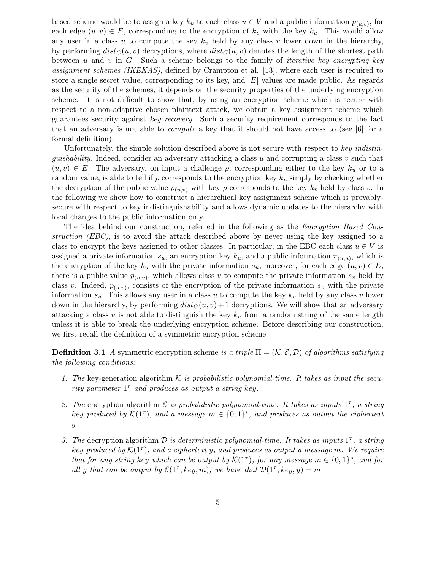based scheme would be to assign a key  $k_u$  to each class  $u \in V$  and a public information  $p_{(u,v)}$ , for each edge  $(u, v) \in E$ , corresponding to the encryption of  $k_v$  with the key  $k_u$ . This would allow any user in a class u to compute the key  $k_v$  held by any class v lower down in the hierarchy, by performing  $dist_G(u, v)$  decryptions, where  $dist_G(u, v)$  denotes the length of the shortest path between u and v in G. Such a scheme belongs to the family of *iterative key encrypting key* assignment schemes (IKEKAS), defined by Crampton et al. [13], where each user is required to store a single secret value, corresponding to its key, and  $|E|$  values are made public. As regards as the security of the schemes, it depends on the security properties of the underlying encryption scheme. It is not difficult to show that, by using an encryption scheme which is secure with respect to a non-adaptive chosen plaintext attack, we obtain a key assignment scheme which guarantees security against key recovery. Such a security requirement corresponds to the fact that an adversary is not able to compute a key that it should not have access to (see [6] for a formal definition).

Unfortunately, the simple solution described above is not secure with respect to key indistinquishability. Indeed, consider an adversary attacking a class  $u$  and corrupting a class  $v$  such that  $(u, v) \in E$ . The adversary, on input a challenge  $\rho$ , corresponding either to the key  $k_u$  or to a random value, is able to tell if  $\rho$  corresponds to the encryption key  $k_u$  simply by checking whether the decryption of the public value  $p_{(u,v)}$  with key  $\rho$  corresponds to the key  $k_v$  held by class v. In the following we show how to construct a hierarchical key assignment scheme which is provablysecure with respect to key indistinguishability and allows dynamic updates to the hierarchy with local changes to the public information only.

The idea behind our construction, referred in the following as the *Encryption Based Con*struction (EBC), is to avoid the attack described above by never using the key assigned to a class to encrypt the keys assigned to other classes. In particular, in the EBC each class  $u \in V$  is assigned a private information  $s_u$ , an encryption key  $k_u$ , and a public information  $\pi_{(u,u)}$ , which is the encryption of the key  $k_u$  with the private information  $s_u$ ; moreover, for each edge  $(u, v) \in E$ , there is a public value  $p_{(u,v)}$ , which allows class u to compute the private information  $s_v$  held by class v. Indeed,  $p_{(u,v)}$ , consists of the encryption of the private information  $s_v$  with the private information  $s_u$ . This allows any user in a class u to compute the key  $k_v$  held by any class v lower down in the hierarchy, by performing  $dist_G(u, v) + 1$  decryptions. We will show that an adversary attacking a class u is not able to distinguish the key  $k<sub>u</sub>$  from a random string of the same length unless it is able to break the underlying encryption scheme. Before describing our construction, we first recall the definition of a symmetric encryption scheme.

**Definition 3.1** A symmetric encryption scheme is a triple  $\Pi = (\mathcal{K}, \mathcal{E}, \mathcal{D})$  of algorithms satisfying the following conditions:

- 1. The key-generation algorithm K is probabilistic polynomial-time. It takes as input the security parameter  $1^{\tau}$  and produces as output a string key.
- 2. The encryption algorithm  $\mathcal E$  is probabilistic polynomial-time. It takes as inputs  $1^{\tau}$ , a string key produced by  $\mathcal{K}(1^{\tau})$ , and a message  $m \in \{0,1\}^*$ , and produces as output the ciphertext  $y$ .
- 3. The decryption algorithm  $D$  is deterministic polynomial-time. It takes as inputs  $1^{\tau}$ , a string key produced by  $\mathcal{K}(1^{\tau})$ , and a ciphertext y, and produces as output a message m. We require that for any string key which can be output by  $\mathcal{K}(1^{\tau})$ , for any message  $m \in \{0,1\}^*$ , and for all y that can be output by  $\mathcal{E}(1^{\tau}, \text{key}, m)$ , we have that  $\mathcal{D}(1^{\tau}, \text{key}, y) = m$ .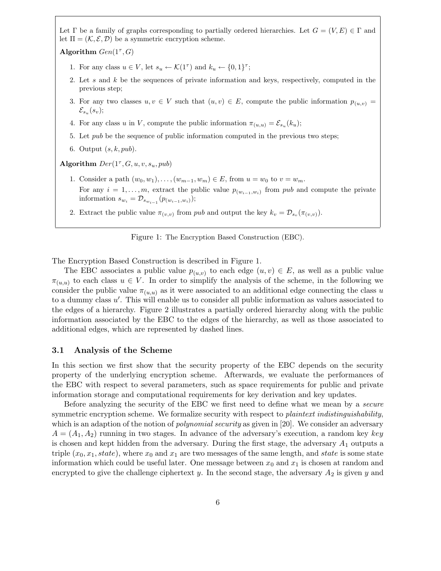Let  $\Gamma$  be a family of graphs corresponding to partially ordered hierarchies. Let  $G = (V, E) \in \Gamma$  and let  $\Pi = (\mathcal{K}, \mathcal{E}, \mathcal{D})$  be a symmetric encryption scheme.

Algorithm  $Gen(1^{\tau}, G)$ 

- 1. For any class  $u \in V$ , let  $s_u \leftarrow \mathcal{K}(1^{\tau})$  and  $k_u \leftarrow \{0, 1\}^{\tau}$ ;
- 2. Let s and k be the sequences of private information and keys, respectively, computed in the previous step;
- 3. For any two classes  $u, v \in V$  such that  $(u, v) \in E$ , compute the public information  $p_{(u,v)} =$  $\mathcal{E}_{s_u}(s_v);$
- 4. For any class u in V, compute the public information  $\pi_{(u,u)} = \mathcal{E}_{s_u}(k_u);$
- 5. Let pub be the sequence of public information computed in the previous two steps;
- 6. Output  $(s, k, pub)$ .

Algorithm  $Der(1^{\tau}, G, u, v, s_u, pub)$ 

- 1. Consider a path  $(w_0, w_1), \ldots, (w_{m-1}, w_m) \in E$ , from  $u = w_0$  to  $v = w_m$ . For any  $i = 1, \ldots, m$ , extract the public value  $p_{(w_{i-1}, w_i)}$  from pub and compute the private information  $s_{w_i} = \mathcal{D}_{s_{w_{i-1}}}(p_{(w_{i-1}, w_i)});$
- 2. Extract the public value  $\pi_{(v,v)}$  from pub and output the key  $k_v = \mathcal{D}_{s_v}(\pi_{(v,v)})$ .

Figure 1: The Encryption Based Construction (EBC).

The Encryption Based Construction is described in Figure 1.

The EBC associates a public value  $p_{(u,v)}$  to each edge  $(u, v) \in E$ , as well as a public value  $\pi_{(u,u)}$  to each class  $u \in V$ . In order to simplify the analysis of the scheme, in the following we consider the public value  $\pi_{(u,u)}$  as it were associated to an additional edge connecting the class u to a dummy class  $u'$ . This will enable us to consider all public information as values associated to the edges of a hierarchy. Figure 2 illustrates a partially ordered hierarchy along with the public information associated by the EBC to the edges of the hierarchy, as well as those associated to additional edges, which are represented by dashed lines.

## 3.1 Analysis of the Scheme

In this section we first show that the security property of the EBC depends on the security property of the underlying encryption scheme. Afterwards, we evaluate the performances of the EBC with respect to several parameters, such as space requirements for public and private information storage and computational requirements for key derivation and key updates.

Before analyzing the security of the EBC we first need to define what we mean by a secure symmetric encryption scheme. We formalize security with respect to *plaintext indistinguishability*, which is an adaption of the notion of *polynomial security* as given in [20]. We consider an adversary  $A = (A_1, A_2)$  running in two stages. In advance of the adversary's execution, a random key key is chosen and kept hidden from the adversary. During the first stage, the adversary  $A_1$  outputs a triple  $(x_0, x_1, state)$ , where  $x_0$  and  $x_1$  are two messages of the same length, and state is some state information which could be useful later. One message between  $x_0$  and  $x_1$  is chosen at random and encrypted to give the challenge ciphertext y. In the second stage, the adversary  $A_2$  is given y and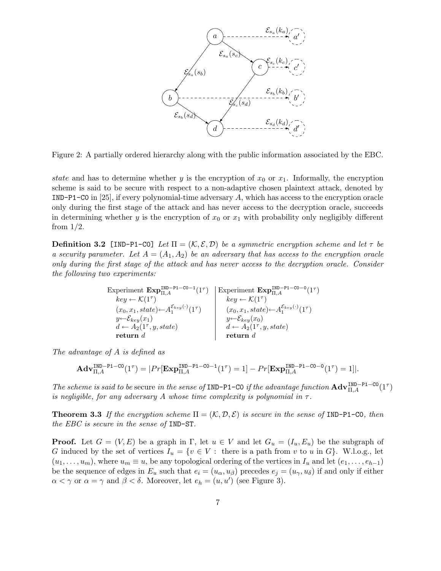

Figure 2: A partially ordered hierarchy along with the public information associated by the EBC.

state and has to determine whether y is the encryption of  $x_0$  or  $x_1$ . Informally, the encryption scheme is said to be secure with respect to a non-adaptive chosen plaintext attack, denoted by IND-P1-C0 in [25], if every polynomial-time adversary A, which has access to the encryption oracle only during the first stage of the attack and has never access to the decryption oracle, succeeds in determining whether y is the encryption of  $x_0$  or  $x_1$  with probability only negligibly different from 1/2.

**Definition 3.2** [IND-P1-C0] Let  $\Pi = (\mathcal{K}, \mathcal{E}, \mathcal{D})$  be a symmetric encryption scheme and let  $\tau$  be a security parameter. Let  $A = (A_1, A_2)$  be an adversary that has access to the encryption oracle only during the first stage of the attack and has never access to the decryption oracle. Consider the following two experiments:

> Experiment  $\text{Exp}_{\Pi,A}^{\text{IND-P1-C0-1}}(1^{\tau})$  Experiment  $\text{Exp}_{\Pi,A}^{\text{IND-P1-C0-0}}(1^{\tau})$ )  $key \leftarrow \mathcal{K}(1^{\tau})$  key  $\leftarrow \mathcal{K}(1^{\tau})$  $(x_0, x_1, state) \leftarrow A_1^{\mathcal{E}_{key}(\cdot)}(1^{\tau})$   $(x_0, x_1, state) \leftarrow A_1^{\mathcal{E}_{key}(\cdot)}(1^{\tau})$  $y \leftarrow \mathcal{E}_{key}(x_1)$   $y \leftarrow \mathcal{E}_{key}(x_0)$  $d \leftarrow A_2(1^{\tau}, y, state)$   $d \leftarrow A_2(1^{\tau}, y, state)$  $\mathbf r$ eturn d $\qquad \qquad \qquad \mathbf r$ eturn d

The advantage of A is defined as

$$
\mathbf{Adv}_{\Pi,A}^{\tt IND-P1-C0}(1^{\tau})=|Pr[\mathtt{Exp}_{\Pi,A}^{\tt IND-P1-C0-1}(1^{\tau})=1]-Pr[\mathtt{Exp}_{\Pi,A}^{\tt IND-P1-C0-0}(1^{\tau})=1]|.
$$

The scheme is said to be secure in the sense of IND-P1-C0 if the advantage function  $\text{Adv}_{\Pi,A}^{\text{IND-P1-C0}}(1^{\tau})$ is negligible, for any adversary A whose time complexity is polynomial in  $\tau$ .

**Theorem 3.3** If the encryption scheme  $\Pi = (\mathcal{K}, \mathcal{D}, \mathcal{E})$  is secure in the sense of IND-P1-C0, then the EBC is secure in the sense of IND-ST.

**Proof.** Let  $G = (V, E)$  be a graph in  $\Gamma$ , let  $u \in V$  and let  $G_u = (I_u, E_u)$  be the subgraph of G induced by the set of vertices  $I_u = \{v \in V : \text{ there is a path from } v \text{ to } u \text{ in } G\}$ . W.l.o.g., let  $(u_1, \ldots, u_m)$ , where  $u_m \equiv u$ , be any topological ordering of the vertices in  $I_u$  and let  $(e_1, \ldots, e_{h-1})$ be the sequence of edges in  $E_u$  such that  $e_i = (u_\alpha, u_\beta)$  precedes  $e_j = (u_\gamma, u_\delta)$  if and only if either  $\alpha < \gamma$  or  $\alpha = \gamma$  and  $\beta < \delta$ . Moreover, let  $e_h = (u, u')$  (see Figure 3).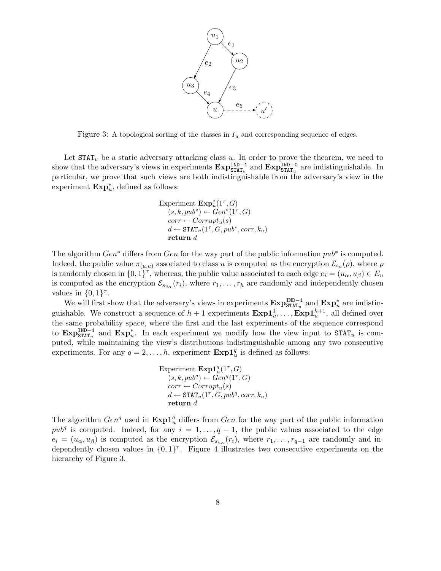

Figure 3: A topological sorting of the classes in  $I_u$  and corresponding sequence of edges.

Let  $\text{STAT}_u$  be a static adversary attacking class u. In order to prove the theorem, we need to show that the adversary's views in experiments  $\exp_{\text{STAT}_u}^{\text{IND}-1}$  and  $\exp_{\text{STAT}_u}^{\text{IND}-0}$  are indistinguishable. In particular, we prove that such views are both indistinguishable from the adversary's view in the experiment  $\text{Exp}_{u}^*$ , defined as follows:

Experiment 
$$
\text{Exp}_u^*(1^{\tau}, G)
$$
  
\n $(s, k, pub^*) \leftarrow Gen^*(1^{\tau}, G)$   
\n $corr \leftarrow Corrupt_u(s)$   
\n $d \leftarrow \text{STAT}_u(1^{\tau}, G, pub^*, corr, k_u)$   
\nreturn  $d$ 

The algorithm  $Gen^*$  differs from  $Gen$  for the way part of the public information  $pub^*$  is computed. Indeed, the public value  $\pi_{(u,u)}$  associated to class u is computed as the encryption  $\mathcal{E}_{s_u}(\rho)$ , where  $\rho$ is randomly chosen in  $\{0,1\}^{\tau}$ , whereas, the public value associated to each edge  $e_i = (u_\alpha, u_\beta) \in E_u$ is computed as the encryption  $\mathcal{E}_{s_{u_\alpha}}(r_i)$ , where  $r_1, \ldots, r_h$  are randomly and independently chosen values in  $\{0,1\}^{\tau}$ .

We will first show that the adversary's views in experiments  $\text{Exp}_{\text{STAT}_u}^{\text{IND}-1}$  and  $\text{Exp}_u^*$  are indistinguishable. We construct a sequence of  $h+1$  experiments  $\text{Exp1}_u^1, \ldots, \text{Exp1}_u^{h+1}$ , all defined over the same probability space, where the first and the last experiments of the sequence correspond to  $\text{Exp}_{\text{STAT}_u}^{\text{IND}-1}$  and  $\text{Exp}_{u}^*$ . In each experiment we modify how the view input to  $\text{STAT}_u$  is computed, while maintaining the view's distributions indistinguishable among any two consecutive experiments. For any  $q = 2, ..., h$ , experiment  $\text{Exp1}_{u}^{q}$  is defined as follows:

Experiment 
$$
\text{Exp1}_{u}^{q}(1^{\tau}, G)
$$
  
\n $(s, k, pub^{q}) \leftarrow Gen^{q}(1^{\tau}, G)$   
\n $corr \leftarrow Corrupt_{u}(s)$   
\n $d \leftarrow \text{STAT}_{u}(1^{\tau}, G, pub^{q}, corr, k_{u})$   
\nreturn  $d$ 

The algorithm  $Gen<sup>q</sup>$  used in  $\text{Exp1}_u^q$  differs from  $Gen$  for the way part of the public information  $pub<sup>q</sup>$  is computed. Indeed, for any  $i = 1, \ldots, q - 1$ , the public values associated to the edge  $e_i = (u_\alpha, u_\beta)$  is computed as the encryption  $\mathcal{E}_{s_{u_\alpha}}(r_i)$ , where  $r_1, \ldots, r_{q-1}$  are randomly and independently chosen values in  $\{0,1\}^{\tau}$ . Figure 4 illustrates two consecutive experiments on the hierarchy of Figure 3.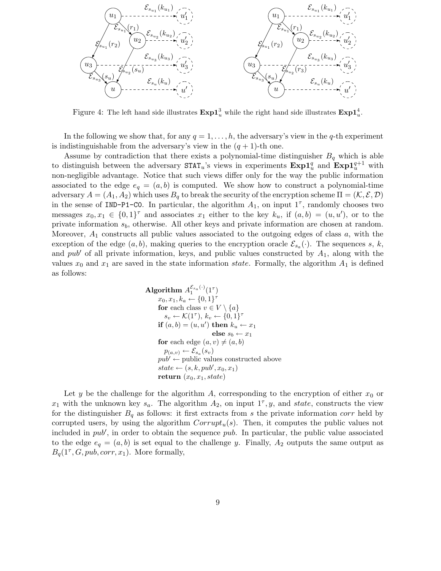

Figure 4: The left hand side illustrates  $\text{Exp1}_u^3$  while the right hand side illustrates  $\text{Exp1}_u^4$ .

In the following we show that, for any  $q = 1, \ldots, h$ , the adversary's view in the q-th experiment is indistinguishable from the adversary's view in the  $(q + 1)$ -th one.

Assume by contradiction that there exists a polynomial-time distinguisher  $B<sub>q</sub>$  which is able to distinguish between the adversary  $\texttt{STAT}_u$ 's views in experiments  $\texttt{Exp1}_{u}^q$  and  $\texttt{Exp1}_{u}^{q+1}$  with non-negligible advantage. Notice that such views differ only for the way the public information associated to the edge  $e_q = (a, b)$  is computed. We show how to construct a polynomial-time adversary  $A = (A_1, A_2)$  which uses  $B_q$  to break the security of the encryption scheme  $\Pi = (K, \mathcal{E}, \mathcal{D})$ in the sense of IND-P1-CO. In particular, the algorithm  $A_1$ , on input  $1^{\tau}$ , randomly chooses two messages  $x_0, x_1 \in \{0, 1\}^{\tau}$  and associates  $x_1$  either to the key  $k_u$ , if  $(a, b) = (u, u')$ , or to the private information  $s_b$ , otherwise. All other keys and private information are chosen at random. Moreover,  $A_1$  constructs all public values associated to the outgoing edges of class  $a$ , with the exception of the edge  $(a, b)$ , making queries to the encryption oracle  $\mathcal{E}_{s_a}(\cdot)$ . The sequences s, k, and pub<sup> $\prime$ </sup> of all private information, keys, and public values constructed by  $A_1$ , along with the values  $x_0$  and  $x_1$  are saved in the state information state. Formally, the algorithm  $A_1$  is defined as follows:

Algorithm 
$$
A_1^{\mathcal{E}_{sa}(\cdot)}(1^{\tau})
$$
  
\n $x_0, x_1, k_a \leftarrow \{0, 1\}^{\tau}$   
\nfor each class  $v \in V \setminus \{a\}$   
\n $s_v \leftarrow \mathcal{K}(1^{\tau}), k_v \leftarrow \{0, 1\}^{\tau}$   
\nif  $(a, b) = (u, u')$  then  $k_u \leftarrow x_1$   
\nelse  $s_b \leftarrow x_1$   
\nfor each edge  $(a, v) \neq (a, b)$   
\n $p_{(a,v)} \leftarrow \mathcal{E}_{sa}(s_v)$   
\n $pub' \leftarrow \text{public values constructed above}$   
\nstate  $\leftarrow (s, k, pub', x_0, x_1)$   
\nreturn  $(x_0, x_1, state)$ 

Let y be the challenge for the algorithm A, corresponding to the encryption of either  $x_0$  or  $x_1$  with the unknown key  $s_a$ . The algorithm  $A_2$ , on input  $1^{\tau}$ , y, and state, constructs the view for the distinguisher  $B_q$  as follows: it first extracts from s the private information corr held by corrupted users, by using the algorithm  $Corrupt<sub>u</sub>(s)$ . Then, it computes the public values not included in  $pub'$ , in order to obtain the sequence  $pub$ . In particular, the public value associated to the edge  $e_q = (a, b)$  is set equal to the challenge y. Finally,  $A_2$  outputs the same output as  $B_q(1^{\tau}, G, pub, corr, x_1)$ . More formally,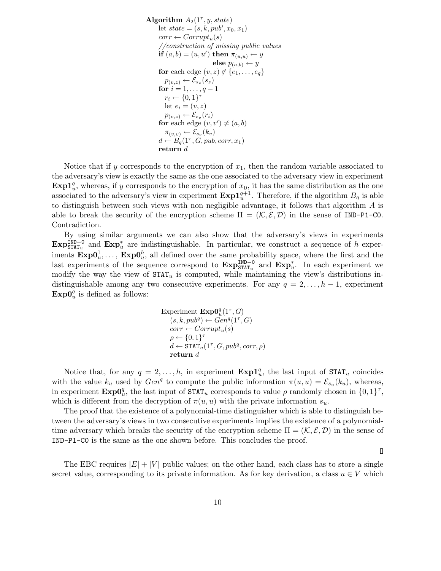Algorithm  $A_2(1^\tau, y, state)$ let  $state = (s, k, pub', x_0, x_1)$  $corr \leftarrow Corrupt_u(s)$ //construction of missing public values if  $(a,b)=(u,u')$  then  $\pi_{(u,u)} \leftarrow y$ else  $p_{(a,b)} \leftarrow y$ for each edge  $(v, z) \notin \{e_1, \ldots, e_q\}$  $p_{(v,z)} \leftarrow \mathcal{E}_{s_v}(s_z)$ for  $i = 1, ..., q - 1$  $r_i \leftarrow \{0,1\}^{\tau}$ let  $e_i = (v, z)$  $p_{(v,z)} \leftarrow \mathcal{E}_{s_v}(r_i)$ for each edge  $(v, v') \neq (a, b)$  $\pi_{(v,v)} \leftarrow \mathcal{E}_{s_v}(k_v)$  $d \leftarrow B_q(1^{\tau}, G, pub, corr, x_1)$ return d

Notice that if y corresponds to the encryption of  $x_1$ , then the random variable associated to the adversary's view is exactly the same as the one associated to the adversary view in experiment  $\text{Exp1}_{u}^{q}$ , whereas, if y corresponds to the encryption of  $x_0$ , it has the same distribution as the one associated to the adversary's view in experiment  $\text{Exp1}_{u}^{q+1}$ . Therefore, if the algorithm  $B_q$  is able to distinguish between such views with non negligible advantage, it follows that algorithm A is able to break the security of the encryption scheme  $\Pi = (\mathcal{K}, \mathcal{E}, \mathcal{D})$  in the sense of IND-P1-CO. Contradiction.

By using similar arguments we can also show that the adversary's views in experiments  $\text{Exp}_{\text{STAT}_u}^{\text{IND}-0}$  and  $\text{Exp}_u^*$  are indistinguishable. In particular, we construct a sequence of h experiments  $\text{Exp0}_u^1, \ldots, \text{Exp0}_u^h$ , all defined over the same probability space, where the first and the last experiments of the sequence correspond to  $\mathbf{Exp}_{\mathsf{STAT}_u}^{\mathsf{IND}-0}$  and  $\mathbf{Exp}_{u}^*$ . In each experiment we modify the way the view of  $\text{STAT}_u$  is computed, while maintaining the view's distributions indistinguishable among any two consecutive experiments. For any  $q = 2, \ldots, h-1$ , experiment  $\text{Exp0}_u^q$  is defined as follows:

> Experiment  $\text{ExpO}_u^q(1^{\tau}, G)$  $(s,k, pub^q) \leftarrow Gen^q(1^{\tau}, G)$  $corr \leftarrow Corrupt_u(s)$  $\rho \leftarrow \{0,1\}^{\tau}$  $d \leftarrow \texttt{STAT}_u(1^\tau, G, pub^q, corr, \rho)$ return d

Notice that, for any  $q = 2, ..., h$ , in experiment  $\text{Exp1}_{u}^{q}$ , the last input of  $\text{STAT}_{u}$  coincides with the value  $k_u$  used by  $Gen<sup>q</sup>$  to compute the public information  $\pi(u, u) = \mathcal{E}_{s_u}(k_u)$ , whereas, in experiment  $\text{Exp0}_u^q$ , the last input of  $\text{STAT}_u$  corresponds to value  $\rho$  randomly chosen in  $\{0,1\}^{\tau}$ , which is different from the decryption of  $\pi(u, u)$  with the private information  $s_u$ .

The proof that the existence of a polynomial-time distinguisher which is able to distinguish between the adversary's views in two consecutive experiments implies the existence of a polynomialtime adversary which breaks the security of the encryption scheme  $\Pi = (\mathcal{K}, \mathcal{E}, \mathcal{D})$  in the sense of IND-P1-C0 is the same as the one shown before. This concludes the proof.

 $\Box$ 

The EBC requires  $|E| + |V|$  public values; on the other hand, each class has to store a single secret value, corresponding to its private information. As for key derivation, a class  $u \in V$  which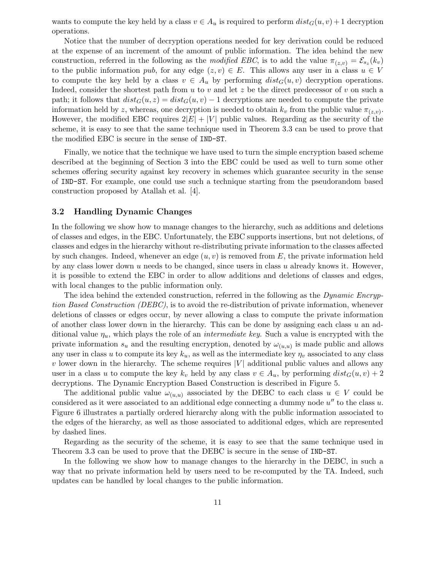wants to compute the key held by a class  $v \in A_u$  is required to perform  $dist_G(u, v) + 1$  decryption operations.

Notice that the number of decryption operations needed for key derivation could be reduced at the expense of an increment of the amount of public information. The idea behind the new construction, referred in the following as the *modified EBC*, is to add the value  $\pi_{(z,v)} = \mathcal{E}_{s_z}(k_v)$ to the public information pub, for any edge  $(z, v) \in E$ . This allows any user in a class  $u \in V$ to compute the key held by a class  $v \in A_u$  by performing  $dist_G(u, v)$  decryption operations. Indeed, consider the shortest path from  $u$  to  $v$  and let  $z$  be the direct predecessor of  $v$  on such a path; it follows that  $dist_G(u, z) = dist_G(u, v) - 1$  decryptions are needed to compute the private information held by z, whereas, one decryption is needed to obtain  $k_v$  from the public value  $\pi_{(z,v)}$ . However, the modified EBC requires  $2|E| + |V|$  public values. Regarding as the security of the scheme, it is easy to see that the same technique used in Theorem 3.3 can be used to prove that the modified EBC is secure in the sense of IND-ST.

Finally, we notice that the technique we have used to turn the simple encryption based scheme described at the beginning of Section 3 into the EBC could be used as well to turn some other schemes offering security against key recovery in schemes which guarantee security in the sense of IND-ST. For example, one could use such a technique starting from the pseudorandom based construction proposed by Atallah et al. [4].

## 3.2 Handling Dynamic Changes

In the following we show how to manage changes to the hierarchy, such as additions and deletions of classes and edges, in the EBC. Unfortunately, the EBC supports insertions, but not deletions, of classes and edges in the hierarchy without re-distributing private information to the classes affected by such changes. Indeed, whenever an edge  $(u, v)$  is removed from E, the private information held by any class lower down  $u$  needs to be changed, since users in class  $u$  already knows it. However, it is possible to extend the EBC in order to allow additions and deletions of classes and edges, with local changes to the public information only.

The idea behind the extended construction, referred in the following as the *Dynamic Encryp*tion Based Construction (DEBC), is to avoid the re-distribution of private information, whenever deletions of classes or edges occur, by never allowing a class to compute the private information of another class lower down in the hierarchy. This can be done by assigning each class  $u$  an additional value  $\eta_u$ , which plays the role of an *intermediate key*. Such a value is encrypted with the private information  $s_u$  and the resulting encryption, denoted by  $\omega_{(u,u)}$  is made public and allows any user in class u to compute its key  $k_u$ , as well as the intermediate key  $\eta_v$  associated to any class  $v$  lower down in the hierarchy. The scheme requires  $|V|$  additional public values and allows any user in a class u to compute the key  $k_v$  held by any class  $v \in A_u$ , by performing  $dist_G(u, v) + 2$ decryptions. The Dynamic Encryption Based Construction is described in Figure 5.

The additional public value  $\omega_{(u,u)}$  associated by the DEBC to each class  $u \in V$  could be considered as it were associated to an additional edge connecting a dummy node  $u''$  to the class u. Figure 6 illustrates a partially ordered hierarchy along with the public information associated to the edges of the hierarchy, as well as those associated to additional edges, which are represented by dashed lines.

Regarding as the security of the scheme, it is easy to see that the same technique used in Theorem 3.3 can be used to prove that the DEBC is secure in the sense of IND-ST.

In the following we show how to manage changes to the hierarchy in the DEBC, in such a way that no private information held by users need to be re-computed by the TA. Indeed, such updates can be handled by local changes to the public information.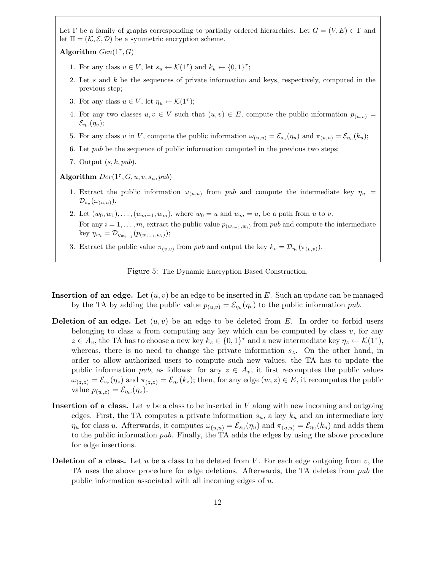Let  $\Gamma$  be a family of graphs corresponding to partially ordered hierarchies. Let  $G = (V, E) \in \Gamma$  and let  $\Pi = (\mathcal{K}, \mathcal{E}, \mathcal{D})$  be a symmetric encryption scheme.

Algorithm  $Gen(1^{\tau}, G)$ 

- 1. For any class  $u \in V$ , let  $s_u \leftarrow \mathcal{K}(1^{\tau})$  and  $k_u \leftarrow \{0, 1\}^{\tau}$ ;
- 2. Let s and  $k$  be the sequences of private information and keys, respectively, computed in the previous step;
- 3. For any class  $u \in V$ , let  $\eta_u \leftarrow \mathcal{K}(1^{\tau});$
- 4. For any two classes  $u, v \in V$  such that  $(u, v) \in E$ , compute the public information  $p_{(u,v)} =$  $\mathcal{E}_{\eta_u}(\eta_v);$
- 5. For any class u in V, compute the public information  $\omega_{(u,u)} = \mathcal{E}_{s_u}(\eta_u)$  and  $\pi_{(u,u)} = \mathcal{E}_{\eta_u}(k_u)$ ;
- 6. Let pub be the sequence of public information computed in the previous two steps;
- 7. Output  $(s, k, pub)$ .
- Algorithm  $Der(1^{\tau}, G, u, v, s_u, pub)$ 
	- 1. Extract the public information  $\omega_{(u,u)}$  from pub and compute the intermediate key  $\eta_u$  =  ${\cal D}_{s_u}(\omega_{(u,u)}).$
	- 2. Let  $(w_0, w_1), \ldots, (w_{m-1}, w_m)$ , where  $w_0 = u$  and  $w_m = u$ , be a path from u to v. For any  $i = 1, \ldots, m$ , extract the public value  $p_{(w_{i-1}, w_i)}$  from pub and compute the intermediate key  $\eta_{w_i} = \mathcal{D}_{\eta_{w_{i-1}}}(\mathcal{p}_{(w_{i-1},w_i)});$
	- 3. Extract the public value  $\pi_{(v,v)}$  from pub and output the key  $k_v = \mathcal{D}_{\eta_v}(\pi_{(v,v)})$ .

Figure 5: The Dynamic Encryption Based Construction.

- **Insertion of an edge.** Let  $(u, v)$  be an edge to be inserted in E. Such an update can be managed by the TA by adding the public value  $p_{(u,v)} = \mathcal{E}_{\eta_u}(\eta_v)$  to the public information pub.
- **Deletion of an edge.** Let  $(u, v)$  be an edge to be deleted from E. In order to forbid users belonging to class u from computing any key which can be computed by class  $v$ , for any  $z \in A_v$ , the TA has to choose a new key  $k_z \in \{0,1\}^{\tau}$  and a new intermediate key  $\eta_z \leftarrow \mathcal{K}(1^{\tau})$ , whereas, there is no need to change the private information  $s_z$ . On the other hand, in order to allow authorized users to compute such new values, the TA has to update the public information pub, as follows: for any  $z \in A_v$ , it first recomputes the public values  $\omega_{(z,z)} = \mathcal{E}_{s_z}(\eta_z)$  and  $\pi_{(z,z)} = \mathcal{E}_{\eta_z}(k_z)$ ; then, for any edge  $(w, z) \in E$ , it recomputes the public value  $p_{(w,z)} = \mathcal{E}_{\eta_w}(\eta_z)$ .
- **Insertion of a class.** Let  $u$  be a class to be inserted in  $V$  along with new incoming and outgoing edges. First, the TA computes a private information  $s_u$ , a key  $k_u$  and an intermediate key  $\eta_u$  for class u. Afterwards, it computes  $\omega_{(u,u)} = \mathcal{E}_{s_u}(\eta_u)$  and  $\pi_{(u,u)} = \mathcal{E}_{\eta_u}(k_u)$  and adds them to the public information pub. Finally, the TA adds the edges by using the above procedure for edge insertions.
- **Deletion of a class.** Let u be a class to be deleted from V. For each edge outgoing from  $v$ , the TA uses the above procedure for edge deletions. Afterwards, the TA deletes from pub the public information associated with all incoming edges of u.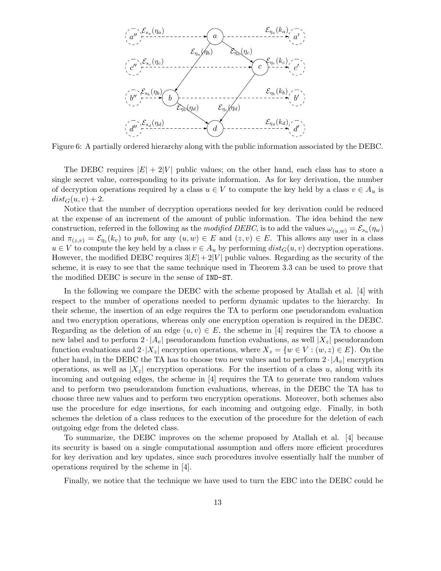

Figure 6: A partially ordered hierarchy along with the public information associated by the DEBC.

The DEBC requires  $|E| + 2|V|$  public values; on the other hand, each class has to store a single secret value, corresponding to its private information. As for key derivation, the number of decryption operations required by a class  $u \in V$  to compute the key held by a class  $v \in A_u$  is  $dist_G(u, v) + 2$ .

Notice that the number of decryption operations needed for key derivation could be reduced at the expense of an increment of the amount of public information. The idea behind the new construction, referred in the following as the *modified DEBC*, is to add the values  $\omega_{(u,w)} = \mathcal{E}_{s_u}(\eta_w)$ and  $\pi_{(z,v)} = \mathcal{E}_{\eta_z}(k_v)$  to pub, for any  $(u, w) \in E$  and  $(z, v) \in E$ . This allows any user in a class  $u \in V$  to compute the key held by a class  $v \in A_u$  by performing  $dist_G(u, v)$  decryption operations. However, the modified DEBC requires  $3|E| + 2|V|$  public values. Regarding as the security of the scheme, it is easy to see that the same technique used in Theorem 3.3 can be used to prove that the modified DEBC is secure in the sense of IND-ST.

In the following we compare the DEBC with the scheme proposed by Atallah et al. [4] with respect to the number of operations needed to perform dynamic updates to the hierarchy. In their scheme, the insertion of an edge requires the TA to perform one pseudorandom evaluation and two encryption operations, whereas only one encryption operation is required in the DEBC. Regarding as the deletion of an edge  $(u, v) \in E$ , the scheme in [4] requires the TA to choose a new label and to perform  $2 \cdot |A_v|$  pseudorandom function evaluations, as well  $|X_z|$  pseudorandom function evaluations and  $2\cdot |X_z|$  encryption operations, where  $X_z = \{w \in V : (w, z) \in E\}$ . On the other hand, in the DEBC the TA has to choose two new values and to perform  $2 \cdot |A_v|$  encryption operations, as well as  $|X_z|$  encryption operations. For the insertion of a class u, along with its incoming and outgoing edges, the scheme in [4] requires the TA to generate two random values and to perform two pseudorandom function evaluations, whereas, in the DEBC the TA has to choose three new values and to perform two encryption operations. Moreover, both schemes also use the procedure for edge insertions, for each incoming and outgoing edge. Finally, in both schemes the deletion of a class reduces to the execution of the procedure for the deletion of each outgoing edge from the deleted class.

To summarize, the DEBC improves on the scheme proposed by Atallah et al. [4] because its security is based on a single computational assumption and offers more efficient procedures for key derivation and key updates, since such procedures involve essentially half the number of operations required by the scheme in [4].

Finally, we notice that the technique we have used to turn the EBC into the DEBC could be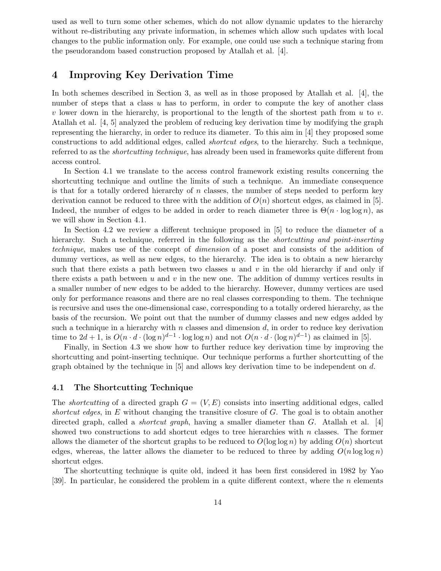used as well to turn some other schemes, which do not allow dynamic updates to the hierarchy without re-distributing any private information, in schemes which allow such updates with local changes to the public information only. For example, one could use such a technique staring from the pseudorandom based construction proposed by Atallah et al. [4].

# 4 Improving Key Derivation Time

In both schemes described in Section 3, as well as in those proposed by Atallah et al. [4], the number of steps that a class  $u$  has to perform, in order to compute the key of another class v lower down in the hierarchy, is proportional to the length of the shortest path from  $u$  to  $v$ . Atallah et al. [4, 5] analyzed the problem of reducing key derivation time by modifying the graph representing the hierarchy, in order to reduce its diameter. To this aim in [4] they proposed some constructions to add additional edges, called shortcut edges, to the hierarchy. Such a technique, referred to as the shortcutting technique, has already been used in frameworks quite different from access control.

In Section 4.1 we translate to the access control framework existing results concerning the shortcutting technique and outline the limits of such a technique. An immediate consequence is that for a totally ordered hierarchy of  $n$  classes, the number of steps needed to perform key derivation cannot be reduced to three with the addition of  $O(n)$  shortcut edges, as claimed in [5]. Indeed, the number of edges to be added in order to reach diameter three is  $\Theta(n \cdot \log \log n)$ , as we will show in Section 4.1.

In Section 4.2 we review a different technique proposed in [5] to reduce the diameter of a hierarchy. Such a technique, referred in the following as the *shortcutting and point-inserting* technique, makes use of the concept of dimension of a poset and consists of the addition of dummy vertices, as well as new edges, to the hierarchy. The idea is to obtain a new hierarchy such that there exists a path between two classes  $u$  and  $v$  in the old hierarchy if and only if there exists a path between  $u$  and  $v$  in the new one. The addition of dummy vertices results in a smaller number of new edges to be added to the hierarchy. However, dummy vertices are used only for performance reasons and there are no real classes corresponding to them. The technique is recursive and uses the one-dimensional case, corresponding to a totally ordered hierarchy, as the basis of the recursion. We point out that the number of dummy classes and new edges added by such a technique in a hierarchy with n classes and dimension  $d$ , in order to reduce key derivation time to  $2d + 1$ , is  $O(n \cdot d \cdot (\log n)^{d-1} \cdot \log \log n)$  and not  $O(n \cdot d \cdot (\log n)^{d-1})$  as claimed in [5].

Finally, in Section 4.3 we show how to further reduce key derivation time by improving the shortcutting and point-inserting technique. Our technique performs a further shortcutting of the graph obtained by the technique in  $[5]$  and allows key derivation time to be independent on d.

#### 4.1 The Shortcutting Technique

The *shortcutting* of a directed graph  $G = (V, E)$  consists into inserting additional edges, called shortcut edges, in  $E$  without changing the transitive closure of  $G$ . The goal is to obtain another directed graph, called a *shortcut graph*, having a smaller diameter than  $G$ . Atallah et al. [4] showed two constructions to add shortcut edges to tree hierarchies with  $n$  classes. The former allows the diameter of the shortcut graphs to be reduced to  $O(\log \log n)$  by adding  $O(n)$  shortcut edges, whereas, the latter allows the diameter to be reduced to three by adding  $O(n \log \log n)$ shortcut edges.

The shortcutting technique is quite old, indeed it has been first considered in 1982 by Yao [39]. In particular, he considered the problem in a quite different context, where the  $n$  elements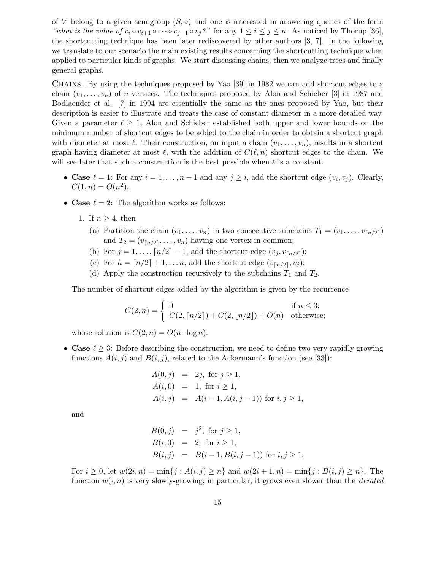of V belong to a given semigroup  $(S, \circ)$  and one is interested in answering queries of the form "what is the value of  $v_i \circ v_{i+1} \circ \cdots \circ v_{j-1} \circ v_j$ ?" for any  $1 \le i \le j \le n$ . As noticed by Thorup [36], the shortcutting technique has been later rediscovered by other authors [3, 7]. In the following we translate to our scenario the main existing results concerning the shortcutting technique when applied to particular kinds of graphs. We start discussing chains, then we analyze trees and finally general graphs.

Chains. By using the techniques proposed by Yao [39] in 1982 we can add shortcut edges to a chain  $(v_1, \ldots, v_n)$  of n vertices. The techniques proposed by Alon and Schieber [3] in 1987 and Bodlaender et al. [7] in 1994 are essentially the same as the ones proposed by Yao, but their description is easier to illustrate and treats the case of constant diameter in a more detailed way. Given a parameter  $\ell \geq 1$ , Alon and Schieber established both upper and lower bounds on the minimum number of shortcut edges to be added to the chain in order to obtain a shortcut graph with diameter at most  $\ell$ . Their construction, on input a chain  $(v_1, \ldots, v_n)$ , results in a shortcut graph having diameter at most  $\ell$ , with the addition of  $C(\ell, n)$  shortcut edges to the chain. We will see later that such a construction is the best possible when  $\ell$  is a constant.

- Case  $\ell = 1$ : For any  $i = 1, ..., n 1$  and any  $j \geq i$ , add the shortcut edge  $(v_i, v_j)$ . Clearly,  $C(1, n) = O(n^2).$
- Case  $\ell = 2$ : The algorithm works as follows:
	- 1. If  $n \geq 4$ , then
		- (a) Partition the chain  $(v_1, \ldots, v_n)$  in two consecutive subchains  $T_1 = (v_1, \ldots, v_{\lceil n/2 \rceil})$ and  $T_2 = (v_{\lceil n/2 \rceil}, \ldots, v_n)$  having one vertex in common;
		- (b) For  $j = 1, ..., [n/2] 1$ , add the shortcut edge  $(v_j, v_{[n/2]})$ ;
		- (c) For  $h = \lfloor n/2 \rfloor + 1, \ldots n$ , add the shortcut edge  $(v_{\lfloor n/2 \rfloor}, v_j)$ ;
		- (d) Apply the construction recursively to the subchains  $T_1$  and  $T_2$ .

The number of shortcut edges added by the algorithm is given by the recurrence

$$
C(2, n) = \begin{cases} 0 & \text{if } n \le 3; \\ C(2, \lceil n/2 \rceil) + C(2, \lfloor n/2 \rfloor) + O(n) & \text{otherwise}; \end{cases}
$$

whose solution is  $C(2, n) = O(n \cdot \log n)$ .

• Case  $\ell \geq 3$ : Before describing the construction, we need to define two very rapidly growing functions  $A(i, j)$  and  $B(i, j)$ , related to the Ackermann's function (see [33]):

$$
A(0, j) = 2j, \text{ for } j \ge 1,
$$
  
\n
$$
A(i, 0) = 1, \text{ for } i \ge 1,
$$
  
\n
$$
A(i, j) = A(i - 1, A(i, j - 1)) \text{ for } i, j \ge 1,
$$

and

$$
B(0, j) = j2, for j \ge 1,\n B(i, 0) = 2, for i \ge 1,\n B(i, j) = B(i - 1, B(i, j - 1)) for i, j \ge 1.
$$

For  $i \ge 0$ , let  $w(2i, n) = \min\{j : A(i, j) \ge n\}$  and  $w(2i + 1, n) = \min\{j : B(i, j) \ge n\}$ . The function  $w(\cdot, n)$  is very slowly-growing; in particular, it grows even slower than the *iterated*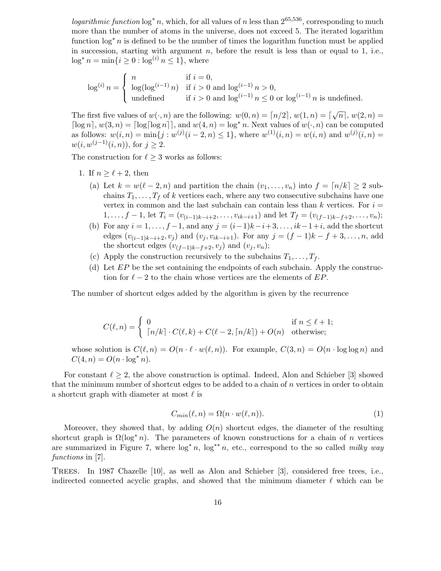*logarithmic function*  $\log^* n$ , which, for all values of n less than  $2^{65,536}$ , corresponding to much more than the number of atoms in the universe, does not exceed 5. The iterated logarithm function log<sup>∗</sup> n is defined to be the number of times the logarithm function must be applied in succession, starting with argument  $n$ , before the result is less than or equal to 1, i.e.,  $\log^* n = \min\{i \geq 0 : \log^{(i)} n \leq 1\}$ , where

$$
\log^{(i)} n = \begin{cases} n & \text{if } i = 0, \\ \log(\log^{(i-1)} n) & \text{if } i > 0 \text{ and } \log^{(i-1)} n > 0, \\ \text{undefined} & \text{if } i > 0 \text{ and } \log^{(i-1)} n \le 0 \text{ or } \log^{(i-1)} n \text{ is undefined.} \end{cases}
$$

The first five values of  $w(\cdot, n)$  are the following:  $w(0, n) = \lceil n/2 \rceil$ ,  $w(1, n) = \lceil \sqrt{n} \rceil$ ,  $w(2, n) =$  $\lceil \log n \rceil$ ,  $w(3, n) = \lceil \log \lceil \log n \rceil \rceil$ , and  $w(4, n) = \log^* n$ . Next values of  $w(\cdot, n)$  can be computed as follows:  $w(i, n) = \min\{j : w^{(j)}(i - 2, n) \leq 1\}$ , where  $w^{(1)}(i, n) = w(i, n)$  and  $w^{(j)}(i, n) =$  $w(i, w^{(j-1)}(i, n))$ , for  $j \ge 2$ .

The construction for  $\ell \geq 3$  works as follows:

- 1. If  $n \geq \ell + 2$ , then
	- (a) Let  $k = w(\ell 2, n)$  and partition the chain  $(v_1, \ldots, v_n)$  into  $f = \lfloor n/k \rfloor \geq 2$  subchains  $T_1, \ldots, T_f$  of k vertices each, where any two consecutive subchains have one vertex in common and the last subchain can contain less than  $k$  vertices. For  $i =$  $1, \ldots, f-1$ , let  $T_i = (v_{(i-1)k-i+2}, \ldots, v_{ik-i+1})$  and let  $T_f = (v_{(f-1)k-f+2}, \ldots, v_n);$
	- (b) For any  $i = 1, \ldots, f-1$ , and any  $j = (i-1)k-i+3, \ldots, ik-1+i$ , add the shortcut edges  $(v_{(i-1)k-i+2}, v_j)$  and  $(v_j, v_{ik-i+1})$ . For any  $j = (f-1)k - f + 3, ..., n$ , add the shortcut edges  $(v_{(f-1)k-f+2}, v_j)$  and  $(v_j, v_n);$
	- (c) Apply the construction recursively to the subchains  $T_1, \ldots, T_f$ .
	- (d) Let  $EP$  be the set containing the endpoints of each subchain. Apply the construction for  $\ell - 2$  to the chain whose vertices are the elements of EP.

The number of shortcut edges added by the algorithm is given by the recurrence

$$
C(\ell, n) = \begin{cases} 0 & \text{if } n \leq \ell + 1; \\ \lceil n/k \rceil \cdot C(\ell, k) + C(\ell - 2, \lceil n/k \rceil) + O(n) & \text{otherwise}; \end{cases}
$$

whose solution is  $C(\ell, n) = O(n \cdot \ell \cdot w(\ell, n))$ . For example,  $C(3, n) = O(n \cdot \log \log n)$  and  $C(4, n) = O(n \cdot \log^* n).$ 

For constant  $\ell > 2$ , the above construction is optimal. Indeed, Alon and Schieber [3] showed that the minimum number of shortcut edges to be added to a chain of n vertices in order to obtain a shortcut graph with diameter at most  $\ell$  is

$$
C_{min}(\ell, n) = \Omega(n \cdot w(\ell, n)).
$$
\n(1)

Moreover, they showed that, by adding  $O(n)$  shortcut edges, the diameter of the resulting shortcut graph is  $\Omega(\log^* n)$ . The parameters of known constructions for a chain of n vertices are summarized in Figure 7, where  $\log^* n$ ,  $\log^{**} n$ , etc., correspond to the so called milky way functions in [7].

Trees. In 1987 Chazelle [10], as well as Alon and Schieber [3], considered free trees, i.e., indirected connected acyclic graphs, and showed that the minimum diameter  $\ell$  which can be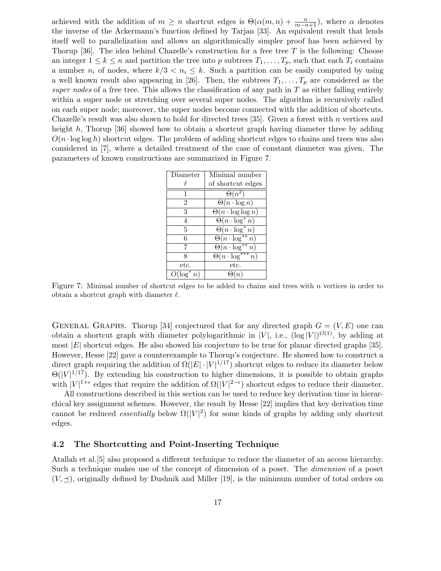achieved with the addition of  $m \geq n$  shortcut edges is  $\Theta(\alpha(m,n) + \frac{n}{m-n+1})$ , where  $\alpha$  denotes the inverse of the Ackermann's function defined by Tarjan [33]. An equivalent result that lends itself well to parallelization and allows an algorithmically simpler proof has been achieved by Thorup [36]. The idea behind Chazelle's construction for a free tree T is the following: Choose an integer  $1 \leq k \leq n$  and partition the tree into p subtrees  $T_1, \ldots, T_p$ , such that each  $T_i$  contains a number  $n_i$  of nodes, where  $k/3 < n_i \leq k$ . Such a partition can be easily computed by using a well known result also appearing in [26]. Then, the subtrees  $T_1, \ldots, T_p$  are considered as the super nodes of a free tree. This allows the classification of any path in  $T$  as either falling entirely within a super node or stretching over several super nodes. The algorithm is recursively called on each super node; moreover, the super nodes become connected with the addition of shortcuts. Chazelle's result was also shown to hold for directed trees [35]. Given a forest with n vertices and height h, Thorup [36] showed how to obtain a shortcut graph having diameter three by adding  $O(n \cdot \log \log h)$  shortcut edges. The problem of adding shortcut edges to chains and trees was also considered in [7], where a detailed treatment of the case of constant diameter was given. The parameters of known constructions are summarized in Figure 7.

| Diameter                 | Minimal number                 |  |  |
|--------------------------|--------------------------------|--|--|
|                          | of shortcut edges              |  |  |
| 1                        | $\Theta(n^2)$                  |  |  |
| $\overline{2}$           | $\Theta(n \cdot \log n)$       |  |  |
| 3                        | $\Theta(n \cdot \log \log n)$  |  |  |
| 4                        | $\Theta(n \cdot \log^* n)$     |  |  |
| 5                        | $\Theta(n \cdot \log^* n)$     |  |  |
| 6                        | $\Theta(n \cdot \log^{**} n)$  |  |  |
| 7                        | $\Theta(n \cdot \log^{**} n)$  |  |  |
| 8                        | $\Theta(n \cdot \log^{***} n)$ |  |  |
| etc.                     | etc.                           |  |  |
| $\overline{O(\log^* n)}$ |                                |  |  |

Figure 7: Minimal number of shortcut edges to be added to chains and trees with  $n$  vertices in order to obtain a shortcut graph with diameter  $\ell$ .

GENERAL GRAPHS. Thorup [34] conjectured that for any directed graph  $G = (V, E)$  one can obtain a shortcut graph with diameter polylogarithmic in  $|V|$ , i.e.,  $(\log |V|)^{O(1)}$ , by adding at most  $|E|$  shortcut edges. He also showed his conjecture to be true for planar directed graphs [35]. However, Hesse [22] gave a counterexample to Thorup's conjecture. He showed how to construct a direct graph requiring the addition of  $\Omega(|E| \cdot |V|^{1/17})$  shortcut edges to reduce its diameter below  $\Theta(|V|^{1/17})$ . By extending his construction to higher dimensions, it is possible to obtain graphs with  $|V|^{1+\epsilon}$  edges that require the addition of  $\Omega(|V|^{2-\epsilon})$  shortcut edges to reduce their diameter.

All constructions described in this section can be used to reduce key derivation time in hierarchical key assignment schemes. However, the result by Hesse [22] implies that key derivation time cannot be reduced *essentially* below  $\Omega(|V|^2)$  for some kinds of graphs by adding only shortcut edges.

## 4.2 The Shortcutting and Point-Inserting Technique

Atallah et al.[5] also proposed a different technique to reduce the diameter of an access hierarchy. Such a technique makes use of the concept of dimension of a poset. The dimension of a poset  $(V, \preceq)$ , originally defined by Dushnik and Miller [19], is the minimum number of total orders on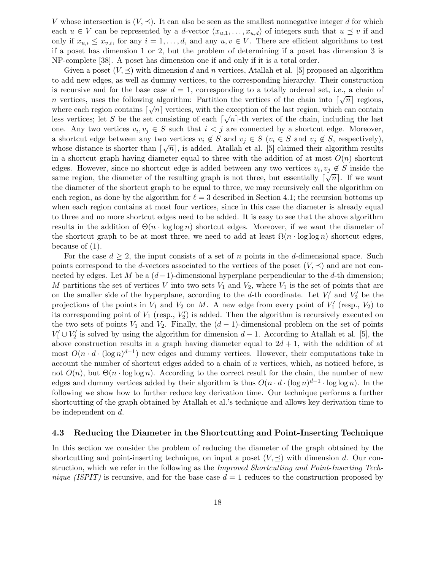V whose intersection is  $(V, \preceq)$ . It can also be seen as the smallest nonnegative integer d for which each  $u \in V$  can be represented by a d-vector  $(x_{u,1},...,x_{u,d})$  of integers such that  $u \preceq v$  if and only if  $x_{u,i} \leq x_{v,i}$ , for any  $i = 1, \ldots, d$ , and any  $u, v \in V$ . There are efficient algorithms to test if a poset has dimension 1 or 2, but the problem of determining if a poset has dimension 3 is NP-complete [38]. A poset has dimension one if and only if it is a total order.

Given a poset  $(V, \preceq)$  with dimension d and n vertices, Atallah et al. [5] proposed an algorithm to add new edges, as well as dummy vertices, to the corresponding hierarchy. Their construction is recursive and for the base case  $d = 1$ , corresponding to a totally ordered set, i.e., a chain of n vertices, uses the following algorithm: Partition the vertices of the chain into  $\lceil \sqrt{n} \rceil$  regions, where each region contains  $\lceil \sqrt{n} \rceil$  vertices, with the exception of the last region, which can contain less vertices; let S be the set consisting of each  $\lceil \sqrt{n} \rceil$ -th vertex of the chain, including the last one. Any two vertices  $v_i, v_j \in S$  such that  $i < j$  are connected by a shortcut edge. Moreover, a shortcut edge between any two vertices  $v_i \notin S$  and  $v_j \in S$  ( $v_i \in S$  and  $v_j \notin S$ , respectively), whose distance is shorter than  $\lceil \sqrt{n} \rceil$ , is added. Atallah et al. [5] claimed their algorithm results in a shortcut graph having diameter equal to three with the addition of at most  $O(n)$  shortcut edges. However, since no shortcut edge is added between any two vertices  $v_i, v_j \notin S$  inside the same region, the diameter of the resulting graph is not three, but essentially  $\lceil \sqrt{n} \rceil$ . If we want the diameter of the shortcut graph to be equal to three, we may recursively call the algorithm on each region, as done by the algorithm for  $\ell = 3$  described in Section 4.1; the recursion bottoms up when each region contains at most four vertices, since in this case the diameter is already equal to three and no more shortcut edges need to be added. It is easy to see that the above algorithm results in the addition of  $\Theta(n \cdot \log \log n)$  shortcut edges. Moreover, if we want the diameter of the shortcut graph to be at most three, we need to add at least  $\Omega(n \cdot \log \log n)$  shortcut edges, because of (1).

For the case  $d \geq 2$ , the input consists of a set of n points in the d-dimensional space. Such points correspond to the d-vectors associated to the vertices of the poset  $(V, \preceq)$  and are not connected by edges. Let M be a  $(d-1)$ -dimensional hyperplane perpendicular to the d-th dimension; M partitions the set of vertices V into two sets  $V_1$  and  $V_2$ , where  $V_1$  is the set of points that are on the smaller side of the hyperplane, according to the d-th coordinate. Let  $V'_1$  and  $V'_2$  be the projections of the points in  $V_1$  and  $V_2$  on M. A new edge from every point of  $V_1'$  (resp.,  $V_2$ ) to its corresponding point of  $V_1$  (resp.,  $V_2'$ ) is added. Then the algorithm is recursively executed on the two sets of points  $V_1$  and  $V_2$ . Finally, the  $(d-1)$ -dimensional problem on the set of points  $V_1' \cup V_2'$  is solved by using the algorithm for dimension  $d-1$ . According to Atallah et al. [5], the above construction results in a graph having diameter equal to  $2d + 1$ , with the addition of at most  $O(n \cdot d \cdot (\log n)^{d-1})$  new edges and dummy vertices. However, their computations take in account the number of shortcut edges added to a chain of n vertices, which, as noticed before, is not  $O(n)$ , but  $\Theta(n \cdot \log \log n)$ . According to the correct result for the chain, the number of new edges and dummy vertices added by their algorithm is thus  $O(n \cdot d \cdot (\log n)^{d-1} \cdot \log \log n)$ . In the following we show how to further reduce key derivation time. Our technique performs a further shortcutting of the graph obtained by Atallah et al.'s technique and allows key derivation time to be independent on d.

#### 4.3 Reducing the Diameter in the Shortcutting and Point-Inserting Technique

In this section we consider the problem of reducing the diameter of the graph obtained by the shortcutting and point-inserting technique, on input a poset  $(V, \preceq)$  with dimension d. Our construction, which we refer in the following as the *Improved Shortcutting and Point-Inserting Tech*nique (ISPIT) is recursive, and for the base case  $d = 1$  reduces to the construction proposed by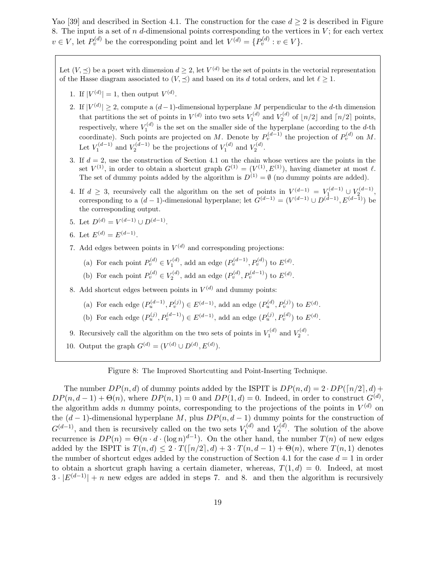Yao [39] and described in Section 4.1. The construction for the case  $d \geq 2$  is described in Figure 8. The input is a set of n d-dimensional points corresponding to the vertices in  $V$ ; for each vertex  $v \in V$ , let  $P_v^{(d)}$  be the corresponding point and let  $V^{(d)} = \{P_v^{(d)} : v \in V\}$ .

Let  $(V, \preceq)$  be a poset with dimension  $d \geq 2$ , let  $V^{(d)}$  be the set of points in the vectorial representation of the Hasse diagram associated to  $(V, \preceq)$  and based on its d total orders, and let  $\ell \geq 1$ .

- 1. If  $|V^{(d)}| = 1$ , then output  $V^{(d)}$ .
- 2. If  $|V^{(d)}| \geq 2$ , compute a  $(d-1)$ -dimensional hyperplane M perpendicular to the d-th dimension that partitions the set of points in  $V^{(d)}$  into two sets  $V_1^{(d)}$  and  $V_2^{(d)}$  of  $\lfloor n/2 \rfloor$  and  $\lceil n/2 \rceil$  points, respectively, where  $V_1^{(d)}$  is the set on the smaller side of the hyperplane (according to the d-th coordinate). Such points are projected on M. Denote by  $P_v^{(d-1)}$  the projection of  $P_v^{(d)}$  on M. Let  $V_1^{(d-1)}$  and  $V_2^{(d-1)}$  be the projections of  $V_1^{(d)}$  and  $V_2^{(d)}$ .
- 3. If  $d = 2$ , use the construction of Section 4.1 on the chain whose vertices are the points in the set  $V^{(1)}$ , in order to obtain a shortcut graph  $G^{(1)} = (V^{(1)}, E^{(1)})$ , having diameter at most  $\ell$ . The set of dummy points added by the algorithm is  $D^{(1)} = \emptyset$  (no dummy points are added).
- 4. If  $d \geq 3$ , recursively call the algorithm on the set of points in  $V^{(d-1)} = V^{(d-1)} \cup V^{(d-1)}$ , corresponding to a  $(d-1)$ -dimensional hyperplane; let  $G^{(d-1)} = (V^{(d-1)} \cup D^{(d-1)}, E^{(d-1)})$  be the corresponding output.
- 5. Let  $D^{(d)} = V^{(d-1)} \cup D^{(d-1)}$ .
- 6. Let  $E^{(d)} = E^{(d-1)}$ .
- 7. Add edges between points in  $V^{(d)}$  and corresponding projections:
	- (a) For each point  $P_v^{(d)} \in V_1^{(d)}$ , add an edge  $(P_v^{(d-1)}, P_v^{(d)})$  to  $E^{(d)}$ .
	- (b) For each point  $P_v^{(d)} \in V_2^{(d)}$ , add an edge  $(P_v^{(d)}, P_v^{(d-1)})$  to  $E^{(d)}$ .
- 8. Add shortcut edges between points in  $V^{(d)}$  and dummy points:
	- (a) For each edge  $(P_u^{(d-1)}, P_v^{(j)}) \in E^{(d-1)}$ , add an edge  $(P_u^{(d)}, P_v^{(j)})$  to  $E^{(d)}$ .
	- (b) For each edge  $(P_u^{(j)}, P_v^{(d-1)}) \in E^{(d-1)}$ , add an edge  $(P_u^{(j)}, P_v^{(d)})$  to  $E^{(d)}$ .
- 9. Recursively call the algorithm on the two sets of points in  $V_1^{(d)}$  and  $V_2^{(d)}$ .
- 10. Output the graph  $G^{(d)} = (V^{(d)} \cup D^{(d)}, E^{(d)})$ .

#### Figure 8: The Improved Shortcutting and Point-Inserting Technique.

The number  $DP(n, d)$  of dummy points added by the ISPIT is  $DP(n, d) = 2 \cdot DP(\lceil n/2 \rceil, d) +$  $DP(n, d-1) + \Theta(n)$ , where  $DP(n, 1) = 0$  and  $DP(1, d) = 0$ . Indeed, in order to construct  $G^{(d)}$ , the algorithm adds n dummy points, corresponding to the projections of the points in  $V^{(d)}$  on the  $(d-1)$ -dimensional hyperplane M, plus  $DP(n, d-1)$  dummy points for the construction of  $G<sup>(d-1)</sup>$ , and then is recursively called on the two sets  $V_1^{(d)}$  $V_1^{(d)}$  and  $V_2^{(d)}$  $\zeta_2^{(a)}$ . The solution of the above recurrence is  $DP(n) = \Theta(n \cdot d \cdot (\log n)^{d-1})$ . On the other hand, the number  $T(n)$  of new edges added by the ISPIT is  $T(n,d) \leq 2 \cdot T(\lceil n/2 \rceil, d) + 3 \cdot T(n, d - 1) + \Theta(n)$ , where  $T(n, 1)$  denotes the number of shortcut edges added by the construction of Section 4.1 for the case  $d = 1$  in order to obtain a shortcut graph having a certain diameter, whereas,  $T(1, d) = 0$ . Indeed, at most  $3 \cdot |E^{(d-1)}| + n$  new edges are added in steps 7. and 8. and then the algorithm is recursively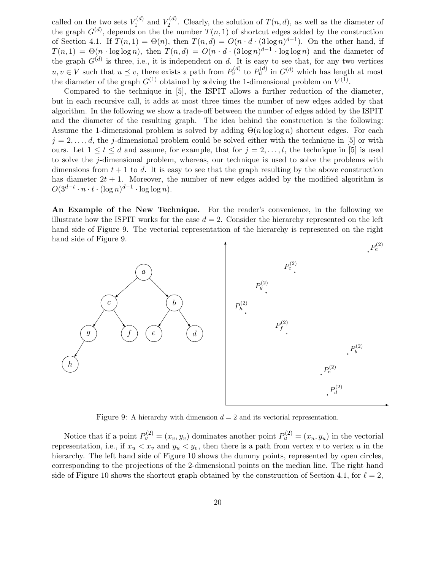called on the two sets  $V_1^{(d)}$  $V_1^{(d)}$  and  $V_2^{(d)}$  $\mathcal{I}_2^{(u)}$ . Clearly, the solution of  $T(n,d)$ , as well as the diameter of the graph  $G^{(d)}$ , depends on the the number  $T(n, 1)$  of shortcut edges added by the construction of Section 4.1. If  $T(n, 1) = \Theta(n)$ , then  $T(n,d) = O(n \cdot d \cdot (3 \log n)^{d-1})$ . On the other hand, if  $T(n, 1) = \Theta(n \cdot \log \log n)$ , then  $T(n, d) = O(n \cdot d \cdot (3 \log n)^{d-1} \cdot \log \log n)$  and the diameter of the graph  $G^{(d)}$  is three, i.e., it is independent on d. It is easy to see that, for any two vertices  $u, v \in V$  such that  $u \preceq v$ , there exists a path from  $P_v^{(d)}$  to  $P_u^{(d)}$  in  $G^{(d)}$  which has length at most the diameter of the graph  $G^{(1)}$  obtained by solving the 1-dimensional problem on  $V^{(1)}$ .

Compared to the technique in [5], the ISPIT allows a further reduction of the diameter, but in each recursive call, it adds at most three times the number of new edges added by that algorithm. In the following we show a trade-off between the number of edges added by the ISPIT and the diameter of the resulting graph. The idea behind the construction is the following: Assume the 1-dimensional problem is solved by adding  $\Theta(n \log \log n)$  shortcut edges. For each  $j = 2, \ldots, d$ , the j-dimensional problem could be solved either with the technique in [5] or with ours. Let  $1 \le t \le d$  and assume, for example, that for  $j = 2, \ldots, t$ , the technique in [5] is used to solve the j-dimensional problem, whereas, our technique is used to solve the problems with dimensions from  $t + 1$  to d. It is easy to see that the graph resulting by the above construction has diameter  $2t + 1$ . Moreover, the number of new edges added by the modified algorithm is  $O(3^{d-t} \cdot n \cdot t \cdot (\log n)^{d-1} \cdot \log \log n).$ 

An Example of the New Technique. For the reader's convenience, in the following we illustrate how the ISPIT works for the case  $d = 2$ . Consider the hierarchy represented on the left hand side of Figure 9. The vectorial representation of the hierarchy is represented on the right hand side of Figure 9.



Figure 9: A hierarchy with dimension  $d = 2$  and its vectorial representation.

Notice that if a point  $P_v^{(2)} = (x_v, y_v)$  dominates another point  $P_u^{(2)} = (x_u, y_u)$  in the vectorial representation, i.e., if  $x_u < x_v$  and  $y_u < y_v$ , then there is a path from vertex v to vertex u in the hierarchy. The left hand side of Figure 10 shows the dummy points, represented by open circles, corresponding to the projections of the 2-dimensional points on the median line. The right hand side of Figure 10 shows the shortcut graph obtained by the construction of Section 4.1, for  $\ell = 2$ ,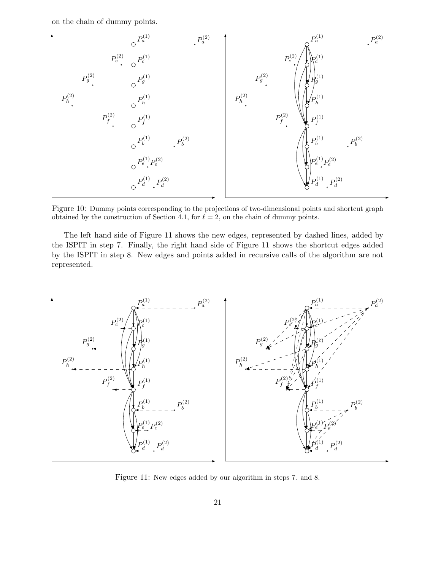on the chain of dummy points.



Figure 10: Dummy points corresponding to the projections of two-dimensional points and shortcut graph obtained by the construction of Section 4.1, for  $\ell = 2$ , on the chain of dummy points.

The left hand side of Figure 11 shows the new edges, represented by dashed lines, added by the ISPIT in step 7. Finally, the right hand side of Figure 11 shows the shortcut edges added by the ISPIT in step 8. New edges and points added in recursive calls of the algorithm are not represented.



Figure 11: New edges added by our algorithm in steps 7. and 8.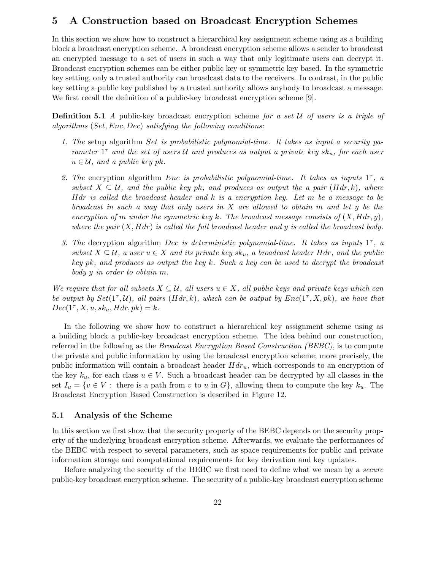# 5 A Construction based on Broadcast Encryption Schemes

In this section we show how to construct a hierarchical key assignment scheme using as a building block a broadcast encryption scheme. A broadcast encryption scheme allows a sender to broadcast an encrypted message to a set of users in such a way that only legitimate users can decrypt it. Broadcast encryption schemes can be either public key or symmetric key based. In the symmetric key setting, only a trusted authority can broadcast data to the receivers. In contrast, in the public key setting a public key published by a trusted authority allows anybody to broadcast a message. We first recall the definition of a public-key broadcast encryption scheme [9].

**Definition 5.1** A public-key broadcast encryption scheme for a set  $\mathcal U$  of users is a triple of algorithms (Set, Enc, Dec) satisfying the following conditions:

- 1. The setup algorithm Set is probabilistic polynomial-time. It takes as input a security parameter  $1^{\tau}$  and the set of users U and produces as output a private key sk<sub>u</sub>, for each user  $u \in \mathcal{U}$ , and a public key pk.
- 2. The encryption algorithm Enc is probabilistic polynomial-time. It takes as inputs  $1^{\tau}$ , a subset  $X \subseteq \mathcal{U}$ , and the public key pk, and produces as output the a pair  $(Hdr, k)$ , where Hdr is called the broadcast header and  $k$  is a encryption key. Let  $m$  be a message to be broadcast in such a way that only users in X are allowed to obtain m and let y be the encryption of m under the symmetric key k. The broadcast message consists of  $(X, Hdr, y)$ , where the pair  $(X, Hdr)$  is called the full broadcast header and y is called the broadcast body.
- 3. The decryption algorithm Dec is deterministic polynomial-time. It takes as inputs  $1^{\tau}$ , a subset  $X \subseteq \mathcal{U}$ , a user  $u \in X$  and its private key  $sk_u$ , a broadcast header Hdr, and the public key pk, and produces as output the key k. Such a key can be used to decrypt the broadcast body y in order to obtain m.

We require that for all subsets  $X \subseteq \mathcal{U}$ , all users  $u \in X$ , all public keys and private keys which can be output by  $Set(1^{\tau}, \mathcal{U})$ , all pairs  $(Hdr, k)$ , which can be output by  $Enc(1^{\tau}, X, pk)$ , we have that  $Dec(1^{\tau}, X, u, sk_u, Hdr, pk) = k.$ 

In the following we show how to construct a hierarchical key assignment scheme using as a building block a public-key broadcast encryption scheme. The idea behind our construction, referred in the following as the *Broadcast Encryption Based Construction (BEBC)*, is to compute the private and public information by using the broadcast encryption scheme; more precisely, the public information will contain a broadcast header  $Hdr_u$ , which corresponds to an encryption of the key  $k_u$ , for each class  $u \in V$ . Such a broadcast header can be decrypted by all classes in the set  $I_u = \{v \in V : \text{ there is a path from } v \text{ to } u \text{ in } G\}$ , allowing them to compute the key  $k_u$ . The Broadcast Encryption Based Construction is described in Figure 12.

## 5.1 Analysis of the Scheme

In this section we first show that the security property of the BEBC depends on the security property of the underlying broadcast encryption scheme. Afterwards, we evaluate the performances of the BEBC with respect to several parameters, such as space requirements for public and private information storage and computational requirements for key derivation and key updates.

Before analyzing the security of the BEBC we first need to define what we mean by a secure public-key broadcast encryption scheme. The security of a public-key broadcast encryption scheme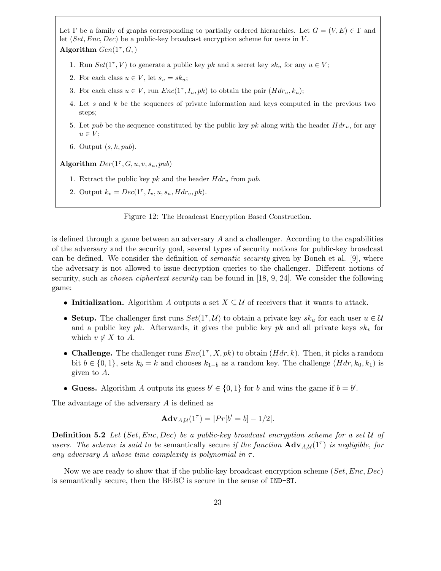Let  $\Gamma$  be a family of graphs corresponding to partially ordered hierarchies. Let  $G = (V, E) \in \Gamma$  and let  $(Set, Enc, Dec)$  be a public-key broadcast encryption scheme for users in V. Algorithm  $Gen(1^{\tau}, G)$ 

- 1. Run  $Set(1^{\tau}, V)$  to generate a public key  $pk$  and a secret key  $sk_u$  for any  $u \in V$ ;
- 2. For each class  $u \in V$ , let  $s_u = sk_u$ ;
- 3. For each class  $u \in V$ , run  $Enc(1^{\tau}, I_u, pk)$  to obtain the pair  $(Hdr_u, k_u)$ ;
- 4. Let s and k be the sequences of private information and keys computed in the previous two steps;
- 5. Let pub be the sequence constituted by the public key pk along with the header  $Hdr_u$ , for any  $u \in V$ ;
- 6. Output  $(s, k, pub)$ .

Algorithm  $Der(1^{\tau}, G, u, v, s_u, pub)$ 

- 1. Extract the public key pk and the header  $Hdr_v$  from pub.
- 2. Output  $k_v = Dec(1^{\tau}, I_v, u, s_u, Hdr_v, pk).$

Figure 12: The Broadcast Encryption Based Construction.

is defined through a game between an adversary A and a challenger. According to the capabilities of the adversary and the security goal, several types of security notions for public-key broadcast can be defined. We consider the definition of *semantic security* given by Boneh et al. [9], where the adversary is not allowed to issue decryption queries to the challenger. Different notions of security, such as *chosen ciphertext security* can be found in [18, 9, 24]. We consider the following game:

- Initialization. Algorithm A outputs a set  $X \subseteq U$  of receivers that it wants to attack.
- Setup. The challenger first runs  $Set(1^{\tau}, \mathcal{U})$  to obtain a private key  $sk_u$  for each user  $u \in \mathcal{U}$ and a public key pk. Afterwards, it gives the public key pk and all private keys  $sk_v$  for which  $v \notin X$  to A.
- Challenge. The challenger runs  $Enc(1^{\tau}, X, pk)$  to obtain  $(Hdr, k)$ . Then, it picks a random bit  $b \in \{0, 1\}$ , sets  $k_b = k$  and chooses  $k_{1-b}$  as a random key. The challenge  $(Hdr, k_0, k_1)$  is given to A.
- Guess. Algorithm A outputs its guess  $b' \in \{0, 1\}$  for b and wins the game if  $b = b'$ .

The advantage of the adversary A is defined as

$$
Adv_{A,\mathcal{U}}(1^{\tau}) = |Pr[b' = b] - 1/2|.
$$

**Definition 5.2** Let  $(Set, Enc, Dec)$  be a public-key broadcast encryption scheme for a set  $U$  of users. The scheme is said to be semantically secure if the function  $\mathbf{Adv}_{A,\mathcal{U}}(1^{\tau})$  is negligible, for any adversary A whose time complexity is polynomial in  $\tau$ .

Now we are ready to show that if the public-key broadcast encryption scheme (Set, Enc, Dec) is semantically secure, then the BEBC is secure in the sense of IND-ST.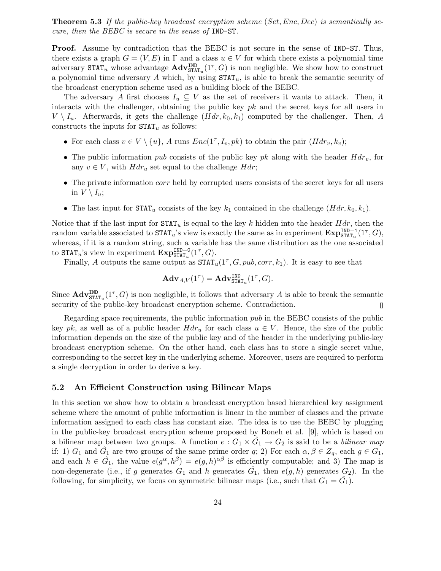**Theorem 5.3** If the public-key broadcast encryption scheme (Set, Enc, Dec) is semantically secure, then the BEBC is secure in the sense of IND-ST.

Proof. Assume by contradiction that the BEBC is not secure in the sense of IND-ST. Thus, there exists a graph  $G = (V, E)$  in  $\Gamma$  and a class  $u \in V$  for which there exists a polynomial time adversary  $\texttt{STAT}_u$  whose advantage  $\text{Adv}_{\texttt{STAT}_u}^{\texttt{IND}}(1^{\tau}, G)$  is non negligible. We show how to construct a polynomial time adversary A which, by using  $\texttt{STAT}_u$ , is able to break the semantic security of the broadcast encryption scheme used as a building block of the BEBC.

The adversary A first chooses  $I_u \subseteq V$  as the set of receivers it wants to attack. Then, it interacts with the challenger, obtaining the public key  $pk$  and the secret keys for all users in  $V \setminus I_u$ . Afterwards, it gets the challenge  $(Hdr, k_0, k_1)$  computed by the challenger. Then, A constructs the inputs for  $\texttt{STAT}_u$  as follows:

- For each class  $v \in V \setminus \{u\}$ , A runs  $Enc(1^{\tau}, I_v, pk)$  to obtain the pair  $(Hdr_v, k_v)$ ;
- The public information pub consists of the public key pk along with the header  $Hdr_v$ , for any  $v \in V$ , with  $H dr_u$  set equal to the challenge  $H dr$ ;
- The private information *corr* held by corrupted users consists of the secret keys for all users in  $V \setminus I_u$ ;
- The last input for  $\text{STAT}_u$  consists of the key  $k_1$  contained in the challenge  $(Hdr, k_0, k_1)$ .

Notice that if the last input for  $\text{STAT}_u$  is equal to the key k hidden into the header  $Hdr$ , then the random variable associated to  $\text{STAT}_u$ 's view is exactly the same as in experiment  $\text{Exp}_{\text{STAT}_u}^{\text{IND}-1}(1^{\tau}, G)$ , whereas, if it is a random string, such a variable has the same distribution as the one associated to  $\text{STAT}_u$ 's view in experiment  $\text{Exp}_{\text{STAT}_u}^{\text{IND}-0}(1^{\tau}, G)$ .

Finally, A outputs the same output as  $\text{STAT}_u(1^{\tau}, G, pub, corr, k_1)$ . It is easy to see that

$$
\mathbf{Adv}_{A,V}(1^{\tau}) = \mathbf{Adv}_{\mathtt{STAT}_u}^{\mathtt{IND}}(1^{\tau}, G).
$$

Since  $\mathbf{Adv}^{\text{IND}}_{\text{STAT}_u}(1^{\tau}, G)$  is non negligible, it follows that adversary A is able to break the semantic security of the public-key broadcast encryption scheme. Contradiction.  $\Box$ 

Regarding space requirements, the public information pub in the BEBC consists of the public key pk, as well as of a public header  $Hdr_u$  for each class  $u \in V$ . Hence, the size of the public information depends on the size of the public key and of the header in the underlying public-key broadcast encryption scheme. On the other hand, each class has to store a single secret value, corresponding to the secret key in the underlying scheme. Moreover, users are required to perform a single decryption in order to derive a key.

## 5.2 An Efficient Construction using Bilinear Maps

In this section we show how to obtain a broadcast encryption based hierarchical key assignment scheme where the amount of public information is linear in the number of classes and the private information assigned to each class has constant size. The idea is to use the BEBC by plugging in the public-key broadcast encryption scheme proposed by Boneh et al. [9], which is based on a bilinear map between two groups. A function  $e: G_1 \times \hat{G}_1 \to G_2$  is said to be a *bilinear map* if: 1)  $G_1$  and  $\hat{G}_1$  are two groups of the same prime order q; 2) For each  $\alpha, \beta \in Z_q$ , each  $g \in G_1$ , and each  $h \in \hat{G}_1$ , the value  $e(g^{\alpha}, h^{\beta}) = e(g, h)^{\alpha\beta}$  is efficiently computable; and 3) The map is non-degenerate (i.e., if g generates  $G_1$  and h generates  $\hat{G_1}$ , then  $e(g, h)$  generates  $G_2$ ). In the following, for simplicity, we focus on symmetric bilinear maps (i.e., such that  $G_1 = \hat{G}_1$ ).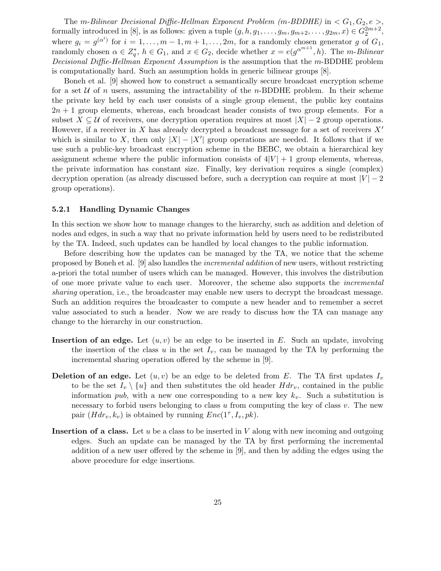The m-Bilinear Decisional Diffie-Hellman Exponent Problem (m-BDDHE) in  $\lt G_1, G_2, e \gt,$ formally introduced in [8], is as follows: given a tuple  $(g, h, g_1, \ldots, g_m, g_{m+2}, \ldots, g_{2m}, x) \in G_2^{2m+2}$ , where  $g_i = g^{(\alpha^i)}$  for  $i = 1, \ldots, m-1, m+1, \ldots, 2m$ , for a randomly chosen generator g of  $G_1$ , randomly chosen  $\alpha \in Z_q^*$ ,  $h \in G_1$ , and  $x \in G_2$ , decide whether  $x = e(g^{\alpha^{m+1}}, h)$ . The m-Bilinear Decisional Diffie-Hellman Exponent Assumption is the assumption that the m-BDDHE problem is computationally hard. Such an assumption holds in generic bilinear groups [8].

Boneh et al. [9] showed how to construct a semantically secure broadcast encryption scheme for a set  $U$  of n users, assuming the intractability of the n-BDDHE problem. In their scheme the private key held by each user consists of a single group element, the public key contains  $2n + 1$  group elements, whereas, each broadcast header consists of two group elements. For a subset  $X \subseteq U$  of receivers, one decryption operation requires at most  $|X| - 2$  group operations. However, if a receiver in X has already decrypted a broadcast message for a set of receivers  $X'$ which is similar to X, then only  $|X| - |X'|$  group operations are needed. It follows that if we use such a public-key broadcast encryption scheme in the BEBC, we obtain a hierarchical key assignment scheme where the public information consists of  $4|V| + 1$  group elements, whereas, the private information has constant size. Finally, key derivation requires a single (complex) decryption operation (as already discussed before, such a decryption can require at most  $|V| - 2$ group operations).

#### 5.2.1 Handling Dynamic Changes

In this section we show how to manage changes to the hierarchy, such as addition and deletion of nodes and edges, in such a way that no private information held by users need to be redistributed by the TA. Indeed, such updates can be handled by local changes to the public information.

Before describing how the updates can be managed by the TA, we notice that the scheme proposed by Boneh et al. [9] also handles the incremental addition of new users, without restricting a-priori the total number of users which can be managed. However, this involves the distribution of one more private value to each user. Moreover, the scheme also supports the incremental sharing operation, i.e., the broadcaster may enable new users to decrypt the broadcast message. Such an addition requires the broadcaster to compute a new header and to remember a secret value associated to such a header. Now we are ready to discuss how the TA can manage any change to the hierarchy in our construction.

- **Insertion of an edge.** Let  $(u, v)$  be an edge to be inserted in E. Such an update, involving the insertion of the class u in the set  $I_v$ , can be managed by the TA by performing the incremental sharing operation offered by the scheme in [9].
- **Deletion of an edge.** Let  $(u, v)$  be an edge to be deleted from E. The TA first updates  $I_v$ to be the set  $I_v \setminus \{u\}$  and then substitutes the old header  $Hdr_v$ , contained in the public information pub, with a new one corresponding to a new key  $k_v$ . Such a substitution is necessary to forbid users belonging to class  $u$  from computing the key of class  $v$ . The new pair  $(Hdr_v, k_v)$  is obtained by running  $Enc(1^{\tau}, I_v, pk)$ .
- **Insertion of a class.** Let  $u$  be a class to be inserted in  $V$  along with new incoming and outgoing edges. Such an update can be managed by the TA by first performing the incremental addition of a new user offered by the scheme in [9], and then by adding the edges using the above procedure for edge insertions.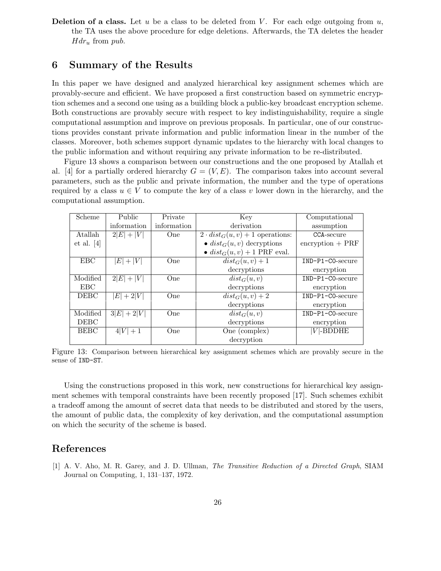**Deletion of a class.** Let u be a class to be deleted from V. For each edge outgoing from  $u$ , the TA uses the above procedure for edge deletions. Afterwards, the TA deletes the header  $Hdr_u$  from pub.

# 6 Summary of the Results

In this paper we have designed and analyzed hierarchical key assignment schemes which are provably-secure and efficient. We have proposed a first construction based on symmetric encryption schemes and a second one using as a building block a public-key broadcast encryption scheme. Both constructions are provably secure with respect to key indistinguishability, require a single computational assumption and improve on previous proposals. In particular, one of our constructions provides constant private information and public information linear in the number of the classes. Moreover, both schemes support dynamic updates to the hierarchy with local changes to the public information and without requiring any private information to be re-distributed.

Figure 13 shows a comparison between our constructions and the one proposed by Atallah et al. [4] for a partially ordered hierarchy  $G = (V, E)$ . The comparison takes into account several parameters, such as the public and private information, the number and the type of operations required by a class  $u \in V$  to compute the key of a class v lower down in the hierarchy, and the computational assumption.

| Scheme      | Public        | Private     | Key                                              | Computational                  |
|-------------|---------------|-------------|--------------------------------------------------|--------------------------------|
|             | information   | information | derivation                                       | assumption                     |
| Atallah     | $2 E  +  V $  | <b>One</b>  | $2 \cdot dist_G(u, v) + 1$ operations:           | CCA-secure                     |
| et al. [4]  |               |             | $\bullet$ dist <sub>G</sub> $(u, v)$ decryptions | $\frac{1}{2}$ encryption + PRF |
|             |               |             | • $dist_G(u, v) + 1$ PRF eval.                   |                                |
| <b>EBC</b>  | $ E + V $     | <b>O</b> ne | $dist_G(u, v) + 1$                               | IND-P1-CO-secure               |
|             |               |             | decryptions                                      | encryption                     |
| Modified    | $2 E  +  V $  | <b>One</b>  | $dist_G(u, v)$                                   | IND-P1-CO-secure               |
| <b>EBC</b>  |               |             | decryptions                                      | encryption                     |
| <b>DEBC</b> | $ E +2 V $    | One         | $\overline{dist}_G(u, v) + 2$                    | IND-P1-CO-secure               |
|             |               |             | decryptions                                      | encryption                     |
| Modified    | $3 E  + 2 V $ | One         | $dist_G(u, v)$                                   | IND-P1-CO-secure               |
| <b>DEBC</b> |               |             | decryptions                                      | encryption                     |
| <b>BEBC</b> | $4 V  + 1$    | <b>One</b>  | One (complex)                                    | $V$ -BDDHE                     |
|             |               |             | decryption                                       |                                |

Figure 13: Comparison between hierarchical key assignment schemes which are provably secure in the sense of IND-ST.

Using the constructions proposed in this work, new constructions for hierarchical key assignment schemes with temporal constraints have been recently proposed [17]. Such schemes exhibit a tradeoff among the amount of secret data that needs to be distributed and stored by the users, the amount of public data, the complexity of key derivation, and the computational assumption on which the security of the scheme is based.

## References

[1] A. V. Aho, M. R. Garey, and J. D. Ullman, The Transitive Reduction of a Directed Graph, SIAM Journal on Computing, 1, 131–137, 1972.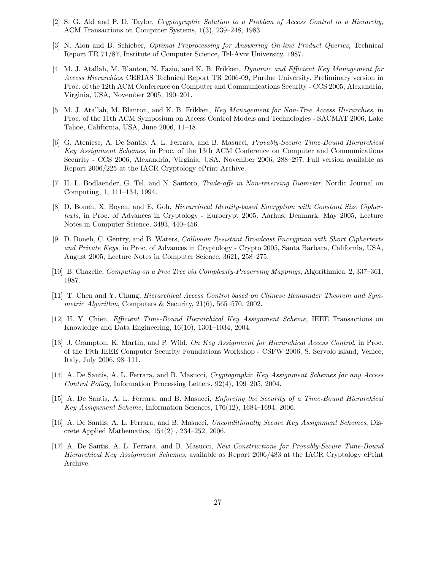- [2] S. G. Akl and P. D. Taylor, Cryptographic Solution to a Problem of Access Control in a Hierarchy, ACM Transactions on Computer Systems, 1(3), 239–248, 1983.
- [3] N. Alon and B. Schieber, Optimal Preprocessing for Answering On-line Product Queries, Technical Report TR 71/87, Institute of Computer Science, Tel-Aviv University, 1987.
- [4] M. J. Atallah, M. Blanton, N. Fazio, and K. B. Frikken, Dynamic and Efficient Key Management for Access Hierarchies, CERIAS Technical Report TR 2006-09, Purdue University. Preliminary version in Proc. of the 12th ACM Conference on Computer and Communications Security - CCS 2005, Alexandria, Virginia, USA, November 2005, 190–201.
- [5] M. J. Atallah, M. Blanton, and K. B. Frikken, Key Management for Non-Tree Access Hierarchies, in Proc. of the 11th ACM Symposium on Access Control Models and Technologies - SACMAT 2006, Lake Tahoe, California, USA, June 2006, 11–18.
- [6] G. Ateniese, A. De Santis, A. L. Ferrara, and B. Masucci, Provably-Secure Time-Bound Hierarchical Key Assignment Schemes, in Proc. of the 13th ACM Conference on Computer and Communications Security - CCS 2006, Alexandria, Virginia, USA, November 2006, 288–297. Full version available as Report 2006/225 at the IACR Cryptology ePrint Archive.
- [7] H. L. Bodlaender, G. Tel, and N. Santoro, Trade-offs in Non-reversing Diameter, Nordic Journal on Computing, 1, 111–134, 1994.
- [8] D. Boneh, X. Boyen, and E. Goh, Hierarchical Identity-based Encryption with Constant Size Ciphertexts, in Proc. of Advances in Cryptology - Eurocrypt 2005, Aarhus, Denmark, May 2005, Lecture Notes in Computer Science, 3493, 440–456.
- [9] D. Boneh, C. Gentry, and B. Waters, Collusion Resistant Broadcast Encryption with Short Ciphertexts and Private Keys, in Proc. of Advances in Cryptology - Crypto 2005, Santa Barbara, California, USA, August 2005, Lecture Notes in Computer Science, 3621, 258–275.
- [10] B. Chazelle, Computing on a Free Tree via Complexity-Preserving Mappings, Algorithmica, 2, 337–361, 1987.
- [11] T. Chen and Y. Chung, Hierarchical Access Control based on Chinese Remainder Theorem and Symmetric Algorithm, Computers & Security, 21(6), 565–570, 2002.
- [12] H. Y. Chien, Efficient Time-Bound Hierarchical Key Assignment Scheme, IEEE Transactions on Knowledge and Data Engineering, 16(10), 1301–1034, 2004.
- [13] J. Crampton, K. Martin, and P. Wild, On Key Assignment for Hierarchical Access Control, in Proc. of the 19th IEEE Computer Security Foundations Workshop - CSFW 2006, S. Servolo island, Venice, Italy, July 2006, 98–111.
- [14] A. De Santis, A. L. Ferrara, and B. Masucci, Cryptographic Key Assignment Schemes for any Access Control Policy, Information Processing Letters, 92(4), 199–205, 2004.
- [15] A. De Santis, A. L. Ferrara, and B. Masucci, Enforcing the Security of a Time-Bound Hierarchical Key Assignment Scheme, Information Sciences, 176(12), 1684–1694, 2006.
- [16] A. De Santis, A. L. Ferrara, and B. Masucci, Unconditionally Secure Key Assignment Schemes, Discrete Applied Mathematics, 154(2) , 234–252, 2006.
- [17] A. De Santis, A. L. Ferrara, and B. Masucci, New Constructions for Provably-Secure Time-Bound Hierarchical Key Assignment Schemes, available as Report 2006/483 at the IACR Cryptology ePrint Archive.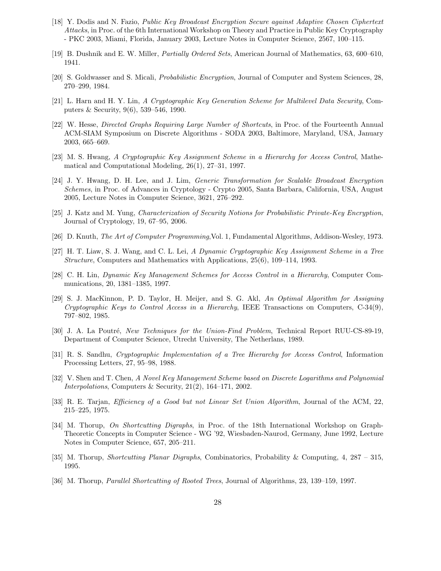- [18] Y. Dodis and N. Fazio, Public Key Broadcast Encryption Secure against Adaptive Chosen Ciphertext Attacks, in Proc. of the 6th International Workshop on Theory and Practice in Public Key Cryptography - PKC 2003, Miami, Florida, January 2003, Lecture Notes in Computer Science, 2567, 100–115.
- [19] B. Dushnik and E. W. Miller, Partially Ordered Sets, American Journal of Mathematics, 63, 600–610, 1941.
- [20] S. Goldwasser and S. Micali, Probabilistic Encryption, Journal of Computer and System Sciences, 28, 270–299, 1984.
- [21] L. Harn and H. Y. Lin, A Cryptographic Key Generation Scheme for Multilevel Data Security, Computers & Security, 9(6), 539–546, 1990.
- [22] W. Hesse, Directed Graphs Requiring Large Number of Shortcuts, in Proc. of the Fourteenth Annual ACM-SIAM Symposium on Discrete Algorithms - SODA 2003, Baltimore, Maryland, USA, January 2003, 665–669.
- [23] M. S. Hwang, A Cryptographic Key Assignment Scheme in a Hierarchy for Access Control, Mathematical and Computational Modeling, 26(1), 27–31, 1997.
- [24] J. Y. Hwang, D. H. Lee, and J. Lim, Generic Transformation for Scalable Broadcast Encryption Schemes, in Proc. of Advances in Cryptology - Crypto 2005, Santa Barbara, California, USA, August 2005, Lecture Notes in Computer Science, 3621, 276–292.
- [25] J. Katz and M. Yung, Characterization of Security Notions for Probabilistic Private-Key Encryption, Journal of Cryptology, 19, 67–95, 2006.
- [26] D. Knuth, The Art of Computer Programming,Vol. 1, Fundamental Algorithms, Addison-Wesley, 1973.
- [27] H. T. Liaw, S. J. Wang, and C. L. Lei, A Dynamic Cryptographic Key Assignment Scheme in a Tree Structure, Computers and Mathematics with Applications, 25(6), 109–114, 1993.
- [28] C. H. Lin, Dynamic Key Management Schemes for Access Control in a Hierarchy, Computer Communications, 20, 1381–1385, 1997.
- [29] S. J. MacKinnon, P. D. Taylor, H. Meijer, and S. G. Akl, An Optimal Algorithm for Assigning Cryptographic Keys to Control Access in a Hierarchy, IEEE Transactions on Computers, C-34(9), 797–802, 1985.
- [30] J. A. La Poutré, New Techniques for the Union-Find Problem, Technical Report RUU-CS-89-19, Department of Computer Science, Utrecht University, The Netherlans, 1989.
- [31] R. S. Sandhu, Cryptographic Implementation of a Tree Hierarchy for Access Control, Information Processing Letters, 27, 95–98, 1988.
- [32] V. Shen and T. Chen, A Novel Key Management Scheme based on Discrete Logarithms and Polynomial Interpolations, Computers & Security, 21(2), 164–171, 2002.
- [33] R. E. Tarjan, Efficiency of a Good but not Linear Set Union Algorithm, Journal of the ACM, 22, 215–225, 1975.
- [34] M. Thorup, On Shortcutting Digraphs, in Proc. of the 18th International Workshop on Graph-Theoretic Concepts in Computer Science - WG '92, Wiesbaden-Naurod, Germany, June 1992, Lecture Notes in Computer Science, 657, 205–211.
- [35] M. Thorup, Shortcutting Planar Digraphs, Combinatorics, Probability & Computing, 4, 287 315, 1995.
- [36] M. Thorup, Parallel Shortcutting of Rooted Trees, Journal of Algorithms, 23, 139–159, 1997.